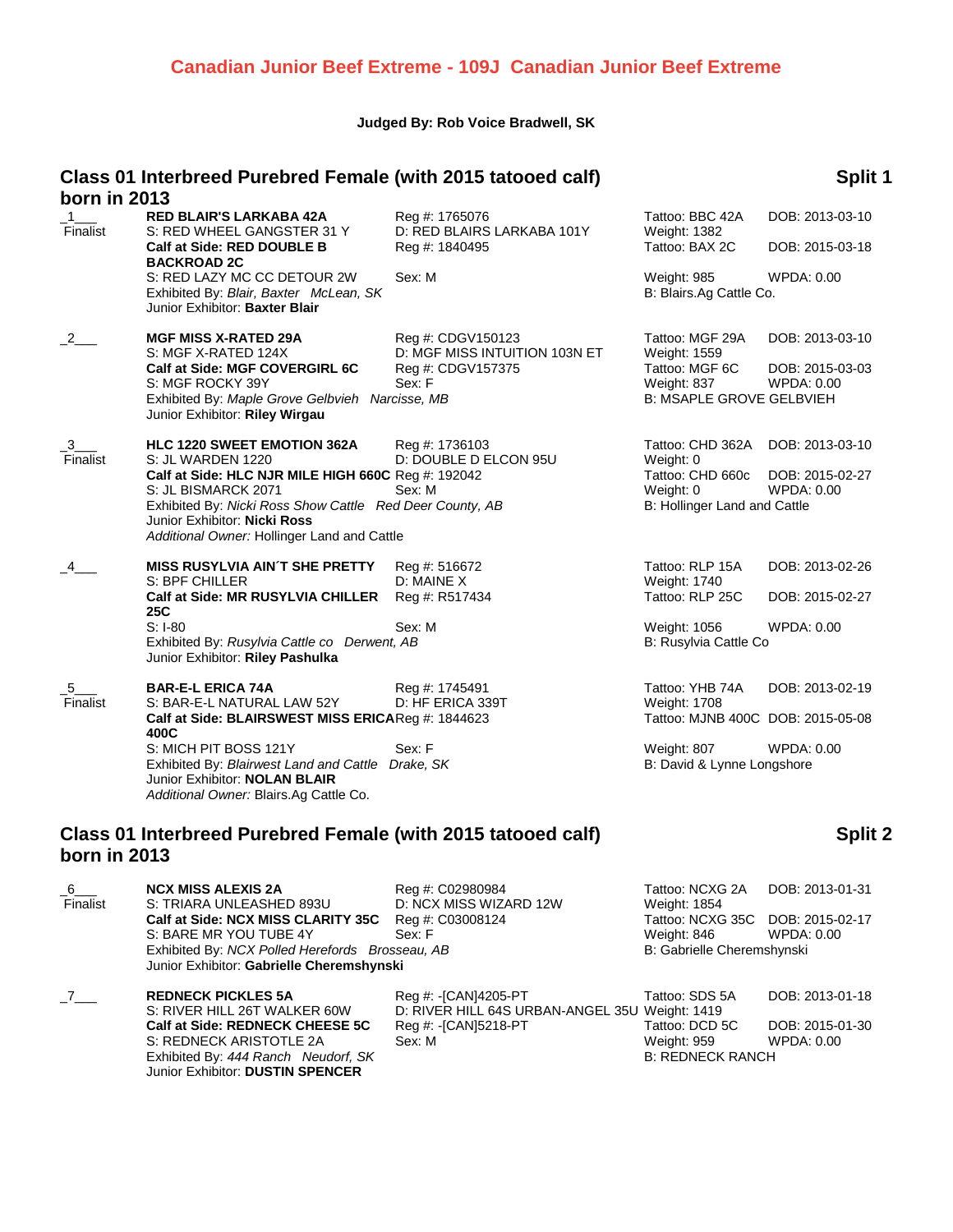# **Canadian Junior Beef Extreme - 109J Canadian Junior Beef Extreme**

#### **Judged By: Rob Voice Bradwell, SK**

# **Class 01 Interbreed Purebred Female (with 2015 tatooed calf) born in 2013**

# **Split 1**

| <b>DOITHILLEVIJ</b> |                                                                                                                                                                                                                                                                                     |                                                                                   |                                                                                                                          |                                                  |
|---------------------|-------------------------------------------------------------------------------------------------------------------------------------------------------------------------------------------------------------------------------------------------------------------------------------|-----------------------------------------------------------------------------------|--------------------------------------------------------------------------------------------------------------------------|--------------------------------------------------|
| Finalist            | <b>RED BLAIR'S LARKABA 42A</b><br>S: RED WHEEL GANGSTER 31 Y<br>Calf at Side: RED DOUBLE B                                                                                                                                                                                          | Reg #: 1765076<br>D: RED BLAIRS LARKABA 101Y<br>Reg #: 1840495                    | Tattoo: BBC 42A<br><b>Weight: 1382</b><br>Tattoo: BAX 2C                                                                 | DOB: 2013-03-10<br>DOB: 2015-03-18               |
|                     | <b>BACKROAD 2C</b><br>S: RED LAZY MC CC DETOUR 2W<br>Exhibited By: Blair, Baxter McLean, SK<br>Junior Exhibitor: Baxter Blair                                                                                                                                                       | Sex: M                                                                            | <b>Weight: 985</b><br>B: Blairs.Ag Cattle Co.                                                                            | WPDA: 0.00                                       |
| $\frac{2}{2}$       | <b>MGF MISS X-RATED 29A</b><br>S: MGF X-RATED 124X<br>Calf at Side: MGF COVERGIRL 6C<br>S: MGF ROCKY 39Y<br>Exhibited By: Maple Grove Gelbvieh Narcisse, MB<br>Junior Exhibitor: Riley Wirgau                                                                                       | Reg #: CDGV150123<br>D: MGF MISS INTUITION 103N ET<br>Reg #: CDGV157375<br>Sex: F | Tattoo: MGF 29A<br>Weight: 1559<br>Tattoo: MGF 6C<br>Weight: 837<br><b>B: MSAPLE GROVE GELBVIEH</b>                      | DOB: 2013-03-10<br>DOB: 2015-03-03<br>WPDA: 0.00 |
| -3<br>Finalist      | <b>HLC 1220 SWEET EMOTION 362A</b><br>S: JL WARDEN 1220<br>Calf at Side: HLC NJR MILE HIGH 660C Reg #: 192042<br>S: JL BISMARCK 2071<br>Exhibited By: Nicki Ross Show Cattle Red Deer County, AB<br>Junior Exhibitor: Nicki Ross<br>Additional Owner: Hollinger Land and Cattle     | Reg #: 1736103<br>D: DOUBLE D ELCON 95U<br>Sex: M                                 | Tattoo: CHD 362A<br>Weight: 0<br>Tattoo: CHD 660c<br>Weight: 0<br>B: Hollinger Land and Cattle                           | DOB: 2013-03-10<br>DOB: 2015-02-27<br>WPDA: 0.00 |
|                     | <b>MISS RUSYLVIA AIN'T SHE PRETTY</b><br>S: BPF CHILLER<br>Calf at Side: MR RUSYLVIA CHILLER<br>25C<br>$S: I-80$<br>Exhibited By: Rusylvia Cattle co Derwent, AB<br>Junior Exhibitor: Riley Pashulka                                                                                | Reg #: 516672<br>D: MAINE X<br>Reg #: R517434<br>Sex: M                           | Tattoo: RLP 15A<br>Weight: 1740<br>Tattoo: RLP 25C<br>Weight: 1056<br>B: Rusylvia Cattle Co                              | DOB: 2013-02-26<br>DOB: 2015-02-27<br>WPDA: 0.00 |
| $-5$<br>Finalist    | <b>BAR-E-L ERICA 74A</b><br>S: BAR-E-L NATURAL LAW 52Y<br>Calf at Side: BLAIRSWEST MISS ERICAReg #: 1844623<br>400C<br>S: MICH PIT BOSS 121Y<br>Exhibited By: Blairwest Land and Cattle Drake, SK<br>Junior Exhibitor: <b>NOLAN BLAIR</b><br>Additional Owner: Blairs.Ag Cattle Co. | Reg #: 1745491<br>D: HF ERICA 339T<br>Sex: F                                      | Tattoo: YHB 74A<br><b>Weight: 1708</b><br>Tattoo: MJNB 400C DOB: 2015-05-08<br>Weight: 807<br>B: David & Lynne Longshore | DOB: 2013-02-19<br>WPDA: 0.00                    |

### **Class 01 Interbreed Purebred Female (with 2015 tatooed calf) born in 2013**

| $6\degree$<br>Finalist | <b>NCX MISS ALEXIS 2A</b><br>S: TRIARA UNLEASHED 893U                                        | Reg #: C02980984<br>D: NCX MISS WIZARD 12W                             | Tattoo: NCXG 2A<br><b>Weight: 1854</b>          | DOB: 2013-01-31               |
|------------------------|----------------------------------------------------------------------------------------------|------------------------------------------------------------------------|-------------------------------------------------|-------------------------------|
|                        | Calf at Side: NCX MISS CLARITY 35C<br>S: BARE MR YOU TUBE 4Y                                 | Reg #: C03008124<br>Sex: F                                             | Tattoo: NCXG 35C DOB: 2015-02-17<br>Weight: 846 | WPDA: 0.00                    |
|                        | Exhibited By: NCX Polled Herefords Brosseau, AB<br>Junior Exhibitor: Gabrielle Cheremshynski |                                                                        | B: Gabrielle Cheremshynski                      |                               |
| 7                      | <b>REDNECK PICKLES 5A</b><br>S: RIVER HILL 26T WALKER 60W                                    | Reg #: -[CAN]4205-PT<br>D: RIVER HILL 64S URBAN-ANGEL 35U Weight: 1419 | Tattoo: SDS 5A                                  | DOB: 2013-01-18               |
|                        | Calf at Side: REDNECK CHEESE 5C<br>S: REDNECK ARISTOTLE 2A                                   | Reg #: -[CAN]5218-PT<br>Sex: M                                         | Tattoo: DCD 5C<br>Weight: 959                   | DOB: 2015-01-30<br>WPDA: 0.00 |
|                        | Exhibited By: 444 Ranch Neudorf, SK<br>Junior Exhibitor: DUSTIN SPENCER                      |                                                                        | <b>B: REDNECK RANCH</b>                         |                               |

# **Split 2**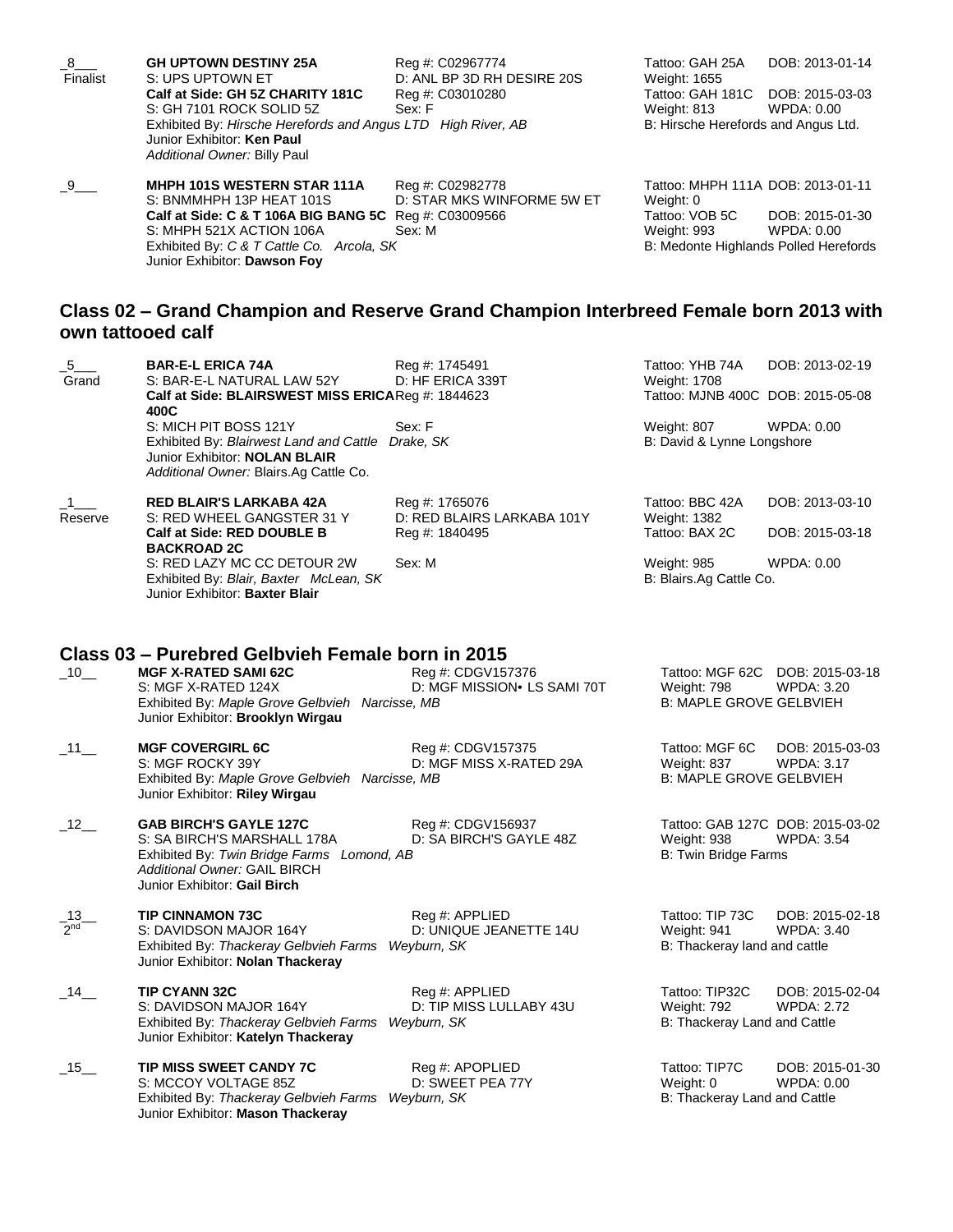| 8<br>Finalist | <b>GH UPTOWN DESTINY 25A</b><br>S: UPS UPTOWN ET                                                                           | Reg #: C02967774<br>D: ANL BP 3D RH DESIRE 20S | Tattoo: GAH 25A<br>Weight: 1655     | DOB: 2013-01-14                       |
|---------------|----------------------------------------------------------------------------------------------------------------------------|------------------------------------------------|-------------------------------------|---------------------------------------|
|               | Calf at Side: GH 5Z CHARITY 181C<br>S: GH 7101 ROCK SOLID 5Z                                                               | Reg #: C03010280<br>Sex: F                     | Tattoo: GAH 181C<br>Weight: 813     | DOB: 2015-03-03<br>WPDA: 0.00         |
|               | Exhibited By: Hirsche Herefords and Angus LTD High River, AB<br>Junior Exhibitor: Ken Paul<br>Additional Owner: Billy Paul |                                                | B: Hirsche Herefords and Angus Ltd. |                                       |
| $-9$          | <b>MHPH 101S WESTERN STAR 111A</b><br>S: BNMMHPH 13P HEAT 101S                                                             | Reg #: C02982778<br>D: STAR MKS WINFORME 5W ET | Weight: 0                           | Tattoo: MHPH 111A DOB: 2013-01-11     |
|               | Calf at Side: C & T 106A BIG BANG 5C Req #: C03009566<br>S: MHPH 521X ACTION 106A                                          | Sex: M                                         | Tattoo: VOB 5C<br>Weight: 993       | DOB: 2015-01-30<br>WPDA: 0.00         |
|               | Exhibited By: C & T Cattle Co. Arcola, SK<br>Junior Exhibitor: Dawson Foy                                                  |                                                |                                     | B: Medonte Highlands Polled Herefords |
|               | Class 02 - Crand Champion and Posorvo Crand Champion Interbroad Fomale born 2013 with                                      |                                                |                                     |                                       |

# **Class 02 – Grand Champion and Reserve Grand Champion Interbreed Female born 2013 with own tattooed calf** \_5\_\_\_ **BAR-E-L ERICA 74A** Reg #: 1745491 Tattoo: YHB 74A DOB: 2013-02-19

| Grand                     | S: BAR-E-L NATURAL LAW 52Y<br>Calf at Side: BLAIRSWEST MISS ERICAReg #: 1844623<br>400C                                                                                                        | D: HF ERICA 339T                                               | <b>Weight: 1708</b><br>Tattoo: MJNB 400C DOB: 2015-05-08        |                                                       |
|---------------------------|------------------------------------------------------------------------------------------------------------------------------------------------------------------------------------------------|----------------------------------------------------------------|-----------------------------------------------------------------|-------------------------------------------------------|
|                           | S: MICH PIT BOSS 121Y<br>Exhibited By: Blairwest Land and Cattle Drake, SK<br>Junior Exhibitor: NOLAN BLAIR<br>Additional Owner: Blairs.Ag Cattle Co.                                          | Sex: F                                                         | Weight: 807<br>B: David & Lynne Longshore                       | WPDA: 0.00                                            |
| $\_1$ $\_$<br>Reserve     | <b>RED BLAIR'S LARKABA 42A</b><br>S: RED WHEEL GANGSTER 31 Y<br>Calf at Side: RED DOUBLE B                                                                                                     | Reg #: 1765076<br>D: RED BLAIRS LARKABA 101Y<br>Reg #: 1840495 | Tattoo: BBC 42A<br><b>Weight: 1382</b><br>Tattoo: BAX 2C        | DOB: 2013-03-10<br>DOB: 2015-03-18                    |
|                           | <b>BACKROAD 2C</b><br>S: RED LAZY MC CC DETOUR 2W<br>Exhibited By: Blair, Baxter McLean, SK<br>Junior Exhibitor: Baxter Blair                                                                  | Sex: M                                                         | Weight: 985<br>B: Blairs.Ag Cattle Co.                          | <b>WPDA: 0.00</b>                                     |
| $-10$ <sub>—</sub>        | Class 03 – Purebred Gelbvieh Female born in 2015<br><b>MGF X-RATED SAMI 62C</b><br>S: MGF X-RATED 124X<br>Exhibited By: Maple Grove Gelbvieh Narcisse, MB<br>Junior Exhibitor: Brooklyn Wirgau | Reg #: CDGV157376<br>D: MGF MISSION LS SAMI 70T                | Weight: 798<br><b>B: MAPLE GROVE GELBVIEH</b>                   | Tattoo: MGF 62C DOB: 2015-03-18<br><b>WPDA: 3.20</b>  |
| $-11$ —                   | <b>MGF COVERGIRL 6C</b><br>S: MGF ROCKY 39Y<br>Exhibited By: Maple Grove Gelbvieh Narcisse, MB<br>Junior Exhibitor: Riley Wirgau                                                               | Reg #: CDGV157375<br>D: MGF MISS X-RATED 29A                   | Tattoo: MGF 6C<br>Weight: 837<br><b>B: MAPLE GROVE GELBVIEH</b> | DOB: 2015-03-03<br><b>WPDA: 3.17</b>                  |
| $-12$ <sub>-1</sub>       | <b>GAB BIRCH'S GAYLE 127C</b><br>S: SA BIRCH'S MARSHALL 178A<br>Exhibited By: Twin Bridge Farms Lomond, AB<br><b>Additional Owner: GAIL BIRCH</b><br>Junior Exhibitor: Gail Birch              | Reg #: CDGV156937<br>D: SA BIRCH'S GAYLE 48Z                   | Weight: 938<br><b>B: Twin Bridge Farms</b>                      | Tattoo: GAB 127C DOB: 2015-03-02<br><b>WPDA: 3.54</b> |
| $\_13$<br>2 <sup>nd</sup> | <b>TIP CINNAMON 73C</b><br>S: DAVIDSON MAJOR 164Y<br>Exhibited By: Thackeray Gelbvieh Farms Weyburn, SK<br>Junior Exhibitor: Nolan Thackeray                                                   | Reg #: APPLIED<br>D: UNIQUE JEANETTE 14U                       | Tattoo: TIP 73C<br>Weight: 941<br>B: Thackeray land and cattle  | DOB: 2015-02-18<br><b>WPDA: 3.40</b>                  |
| $-14$                     | <b>TIP CYANN 32C</b><br>S: DAVIDSON MAJOR 164Y<br>Exhibited By: Thackeray Gelbvieh Farms Weyburn, SK<br>Junior Exhibitor: Katelyn Thackeray                                                    | Reg #: APPLIED<br>D: TIP MISS LULLABY 43U                      | Tattoo: TIP32C<br>Weight: 792<br>B: Thackeray Land and Cattle   | DOB: 2015-02-04<br><b>WPDA: 2.72</b>                  |
| $-15$ <sub>—</sub>        | TIP MISS SWEET CANDY 7C<br>S: MCCOY VOLTAGE 85Z<br>Exhibited By: Thackeray Gelbvieh Farms Weyburn, SK<br>Junior Exhibitor: Mason Thackeray                                                     | Reg #: APOPLIED<br>D: SWEET PEA 77Y                            | Tattoo: TIP7C<br>Weight: 0<br>B: Thackeray Land and Cattle      | DOB: 2015-01-30<br>WPDA: 0.00                         |
|                           |                                                                                                                                                                                                |                                                                |                                                                 |                                                       |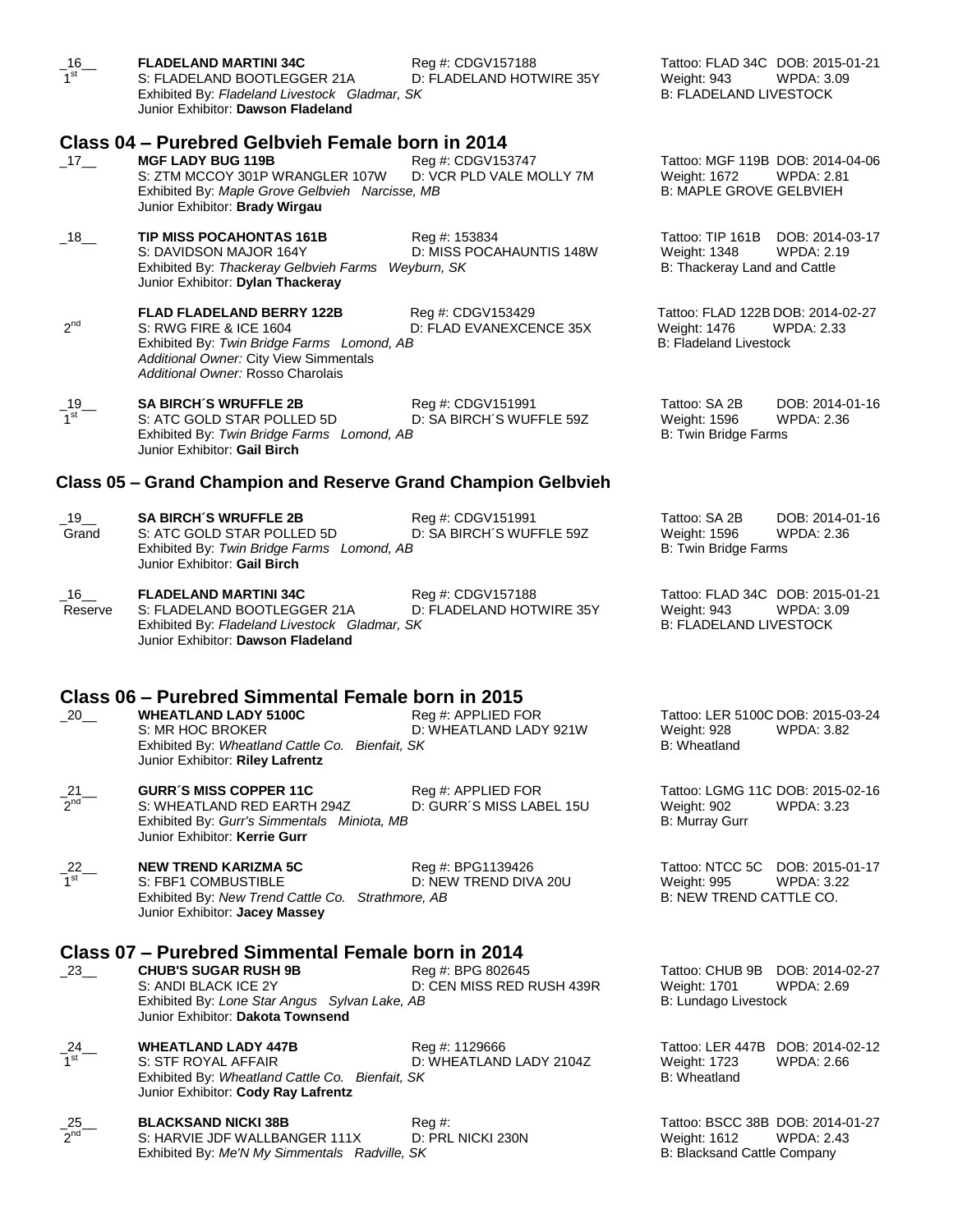| $-16$<br>1 <sup>st</sup> | <b>FLADELAND MARTINI 34C</b><br>S: FLADELAND BOOTLEGGER 21A<br>Exhibited By: Fladeland Livestock Gladmar, SK<br>Junior Exhibitor: Dawson Fladeland                                                   | Reg #: CDGV157188<br>D: FLADELAND HOTWIRE 35Y            | Tattoo: FLAD 34C DOB: 2015-01-21<br><b>WPDA: 3.09</b><br>Weight: 943<br><b>B: FLADELAND LIVESTOCK</b>    |
|--------------------------|------------------------------------------------------------------------------------------------------------------------------------------------------------------------------------------------------|----------------------------------------------------------|----------------------------------------------------------------------------------------------------------|
|                          |                                                                                                                                                                                                      |                                                          |                                                                                                          |
| $-17$ —                  | Class 04 – Purebred Gelbvieh Female born in 2014<br><b>MGF LADY BUG 119B</b><br>S: ZTM MCCOY 301P WRANGLER 107W<br>Exhibited By: Maple Grove Gelbvieh Narcisse, MB<br>Junior Exhibitor: Brady Wirgau | Reg #: CDGV153747<br>D: VCR PLD VALE MOLLY 7M            | Tattoo: MGF 119B DOB: 2014-04-06<br>Weight: 1672<br>WPDA: 2.81<br><b>B: MAPLE GROVE GELBVIEH</b>         |
| $-18$ <sub>—</sub>       | <b>TIP MISS POCAHONTAS 161B</b><br>S: DAVIDSON MAJOR 164Y<br>Exhibited By: Thackeray Gelbvieh Farms<br>Junior Exhibitor: Dylan Thackeray                                                             | Reg #: 153834<br>D: MISS POCAHAUNTIS 148W<br>Wevburn, SK | Tattoo: TIP 161B<br>DOB: 2014-03-17<br>Weight: 1348<br><b>WPDA: 2.19</b><br>B: Thackeray Land and Cattle |
| $2^{nd}$                 | <b>FLAD FLADELAND BERRY 122B</b><br>S: RWG FIRE & ICE 1604<br>Exhibited By: Twin Bridge Farms Lomond, AB<br>Additional Owner: City View Simmentals<br>Additional Owner: Rosso Charolais              | Reg #: CDGV153429<br>D: FLAD EVANEXCENCE 35X             | Tattoo: FLAD 122B DOB: 2014-02-27<br>Weight: 1476<br><b>WPDA: 2.33</b><br><b>B: Fladeland Livestock</b>  |
| $-\frac{19}{1}$          | <b>SA BIRCH'S WRUFFLE 2B</b><br>S: ATC GOLD STAR POLLED 5D<br>Exhibited By: Twin Bridge Farms Lomond, AB<br>Junior Exhibitor: Gail Birch                                                             | Reg #: CDGV151991<br>D: SA BIRCH'S WUFFLE 59Z            | Tattoo: SA 2B<br>DOB: 2014-01-16<br>Weight: 1596<br><b>WPDA: 2.36</b><br><b>B: Twin Bridge Farms</b>     |
|                          | Class 05 – Grand Champion and Reserve Grand Champion Gelbvieh                                                                                                                                        |                                                          |                                                                                                          |
| $\_$ 19 $\_$<br>Grand    | <b>SA BIRCH'S WRUFFLE 2B</b><br>S: ATC GOLD STAR POLLED 5D<br>Exhibited By: Twin Bridge Farms Lomond, AB<br>Junior Exhibitor: Gail Birch                                                             | Reg #: CDGV151991<br>D: SA BIRCH'S WUFFLE 59Z            | Tattoo: SA 2B<br>DOB: 2014-01-16<br>Weight: 1596<br><b>WPDA: 2.36</b><br><b>B: Twin Bridge Farms</b>     |
| $\_16$<br>Reserve        | <b>FLADELAND MARTINI 34C</b><br>S: FLADELAND BOOTLEGGER 21A<br>Exhibited By: Fladeland Livestock Gladmar, SK<br>Junior Exhibitor: Dawson Fladeland                                                   | Reg #: CDGV157188<br>D: FLADELAND HOTWIRE 35Y            | Tattoo: FLAD 34C DOB: 2015-01-21<br>Weight: 943<br>WPDA: 3.09<br><b>B: FLADELAND LIVESTOCK</b>           |
|                          |                                                                                                                                                                                                      |                                                          |                                                                                                          |
| 20                       | Class 06 - Purebred Simmental Female born in 2015<br><b>WHEATLAND LADY 5100C</b><br>S: MR HOC BROKER<br>Exhibited By: Wheatland Cattle Co. Bienfait, SK<br>Junior Exhibitor: Riley Lafrentz          | Reg #: APPLIED FOR<br>D: WHEATLAND LADY 921W             | Tattoo: LER 5100C DOB: 2015-03-24<br>Weight: 928<br>WPDA: 3.82<br>B: Wheatland                           |
| $\frac{21}{2^{nd}}$      | <b>GURR'S MISS COPPER 11C</b><br>S: WHEATLAND RED EARTH 294Z<br>Exhibited By: Gurr's Simmentals Miniota, MB<br>Junior Exhibitor: Kerrie Gurr                                                         | Reg #: APPLIED FOR<br>D: GURR'S MISS LABEL 15U           | Tattoo: LGMG 11C DOB: 2015-02-16<br>Weight: 902<br><b>WPDA: 3.23</b><br><b>B: Murray Gurr</b>            |
| $\frac{22}{1^{st}}$      | <b>NEW TREND KARIZMA 5C</b><br>S: FBF1 COMBUSTIBLE<br>Exhibited By: New Trend Cattle Co. Strathmore, AB<br>Junior Exhibitor: Jacey Massey                                                            | Reg #: BPG1139426<br>D: NEW TREND DIVA 20U               | Tattoo: NTCC 5C DOB: 2015-01-17<br>Weight: 995<br><b>WPDA: 3.22</b><br>B: NEW TREND CATTLE CO.           |
| $-23$                    | Class 07 - Purebred Simmental Female born in 2014<br><b>CHUB'S SUGAR RUSH 9B</b><br>S: ANDI BLACK ICE 2Y<br>Exhibited By: Lone Star Angus Sylvan Lake, AB<br>Junior Exhibitor: Dakota Townsend       | Reg #: BPG 802645<br>D: CEN MISS RED RUSH 439R           | Tattoo: CHUB 9B<br>DOB: 2014-02-27<br>Weight: 1701<br>WPDA: 2.69<br>B: Lundago Livestock                 |
| $\frac{-24}{1}$          | <b>WHEATLAND LADY 447B</b><br>S: STF ROYAL AFFAIR<br>Exhibited By: Wheatland Cattle Co. Bienfait, SK<br>Junior Exhibitor: Cody Ray Lafrentz                                                          | Reg #: 1129666<br>D: WHEATLAND LADY 2104Z                | Tattoo: LER 447B<br>DOB: 2014-02-12<br>Weight: 1723<br>WPDA: 2.66<br><b>B: Wheatland</b>                 |
| $\frac{25}{2^{nd}}$      | <b>BLACKSAND NICKI 38B</b><br>S: HARVIE JDF WALLBANGER 111X<br>Exhibited By: Me'N My Simmentals Radville, SK                                                                                         | $Reg \#$<br>D: PRL NICKI 230N                            | Tattoo: BSCC 38B DOB: 2014-01-27<br>Weight: 1612<br><b>WPDA: 2.43</b><br>B: Blacksand Cattle Company     |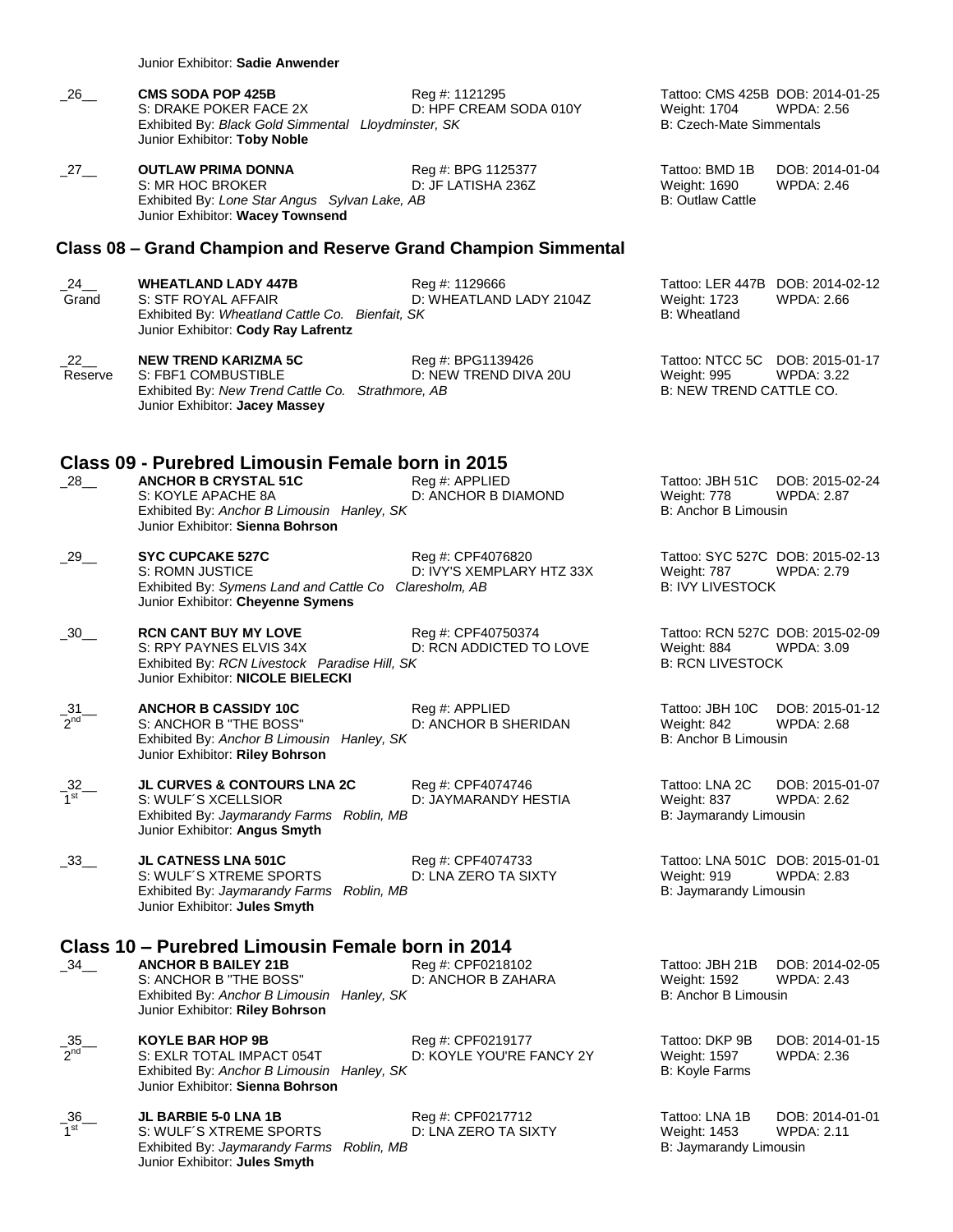Junior Exhibitor: **Sadie Anwender**

| -26 | <b>CMS SODA POP 425B</b>                                                            | Reg #: 1121295         |
|-----|-------------------------------------------------------------------------------------|------------------------|
|     | S: DRAKE POKER FACE 2X                                                              | D: HPF CREAM SODA 010Y |
|     | Exhibited By: Black Gold Simmental Lloydminster, SK<br>Junior Exhibitor: Toby Noble |                        |

\_27\_\_ **OUTLAW PRIMA DONNA** Reg #: BPG 1125377 Tattoo: BMD 1B DOB: 2014-01-04 S: MR HOC BROKER D: JF LATISHA 236Z Weight: 1690 WPDA: 2.46 Exhibited By: *Lone Star Angus Sylvan Lake, AB* B: Outlaw Cattle By: Angle Cattle By: Dutlaw Cattle Junior Exhibitor: **Wacey Townsend**

#### **Class 08 – Grand Champion and Reserve Grand Champion Simmental**

\_24\_\_ **WHEATLAND LADY 447B** Reg #: 1129666 Tattoo: LER 447B DOB: 2014-02-12 Grand S: STF ROYAL AFFAIR D: WHEATLAND LADY 2104Z Weight: 1723 WPDA: 2.66 Exhibited By: *Wheatland Cattle Co. Bienfait, SK* B: Wheatland Junior Exhibitor: **Cody Ray Lafrentz**

\_22\_\_ **NEW TREND KARIZMA 5C** Reg #: BPG1139426 Tattoo: NTCC 5C DOB: 2015-01-17 Reserve S: FBF1 COMBUSTIBLE D: NEW TREND DIVA 20U Weight: 995 WPDA: 3.22 Exhibited By: *New Trend Cattle Co. Strathmore, AB* B: NEW TREND CATTLE CO. Junior Exhibitor: **Jacey Massey**

#### **Class 09 - Purebred Limousin Female born in 2015**

\_28\_\_ **ANCHOR B CRYSTAL 51C** Reg #: APPLIED Tattoo: JBH 51C DOB: 2015-02-24 Exhibited By: Anchor B Limousin Hanley, SK Junior Exhibitor: **Sienna Bohrson**

\_29\_\_ **SYC CUPCAKE 527C** Reg #: CPF4076820 Tattoo: SYC 527C DOB: 2015-02-13 D: IVY'S XEMPLARY HTZ 33X Exhibited By: *Symens Land and Cattle Co Claresholm, AB* B: IVY LIVESTOCK Junior Exhibitor: **Cheyenne Symens**

\_30\_\_ **RCN CANT BUY MY LOVE** Reg #: CPF40750374 Tattoo: RCN 527C DOB: 2015-02-09 S: RPY PAYNES ELVIS 34X D: RCN ADDICTED TO LOVE Weight: 884 WPDA: 3.09<br>Exhibited By: RCN Livestock Paradise Hill. SK B: RCN LIVESTOCK B: RCN LIVESTOCK Exhibited By: *RCN Livestock Paradise Hill, SK* Junior Exhibitor: **NICOLE BIELECKI**

**ANCHOR B CASSIDY 10C** Reg #: APPLIED Tattoo: JBH 10C DOB: 2015-01-12<br>S: ANCHOR B "THE BOSS" D: ANCHOR B SHERIDAN Weight: 842 WPDA: 2.68  $\frac{31}{2^{nd}}$ S: ANCHOR B "THE BOSS" D: ANCHOR B SHERIDAN Weight: 842 Exhibited By: *Anchor B Limousin Hanley, SK* B: Anchor B Limousin Junior Exhibitor: **Riley Bohrson**

\_32\_\_ **JL CURVES & CONTOURS LNA 2C** Reg #: CPF4074746 Tattoo: LNA 2C DOB: 2015-01-07 1 st S: WULF´S XCELLSIOR D: JAYMARANDY HESTIA Weight: 837 WPDA: 2.62 Exhibited By: *Jaymarandy Farms Roblin, MB* **Exhibited By:** *Jaymarandy Limousin* B: *Jaymarandy Limousin* Junior Exhibitor: **Angus Smyth**

\_33\_\_ **JL CATNESS LNA 501C** Reg #: CPF4074733 Tattoo: LNA 501C DOB: 2015-01-01 S: WULF´S XTREME SPORTS D: LNA ZERO TA SIXTY Weight: 919 Exhibited By: *Jaymarandy Farms Roblin, MB* B: Jaymarandy Limousin Junior Exhibitor: **Jules Smyth**

#### **Class 10 – Purebred Limousin Female born in 2014**

\_34\_\_ **ANCHOR B BAILEY 21B** Reg #: CPF0218102 Tattoo: JBH 21B DOB: 2014-02-05 S: ANCHOR B "THE BOSS" D: ANCHOR B ZAHARA Weight: 1592 WPDA: 2.43 Exhibited By: *Anchor B Limousin Hanley, SK* B: Anchor B Limousin B: Anchor B Limousin Junior Exhibitor: **Riley Bohrson**

\_35\_\_ **KOYLE BAR HOP 9B** Reg #: CPF0219177 Tattoo: DKP 9B DOB: 2014-01-15 2 nd S: EXLR TOTAL IMPACT 054T D: KOYLE YOU'RE FANCY 2Y Weight: 1597 WPDA: 2.36 Exhibited By: *Anchor B Limousin Hanley, SK* B: Koyle Farms B: Koyle Farms Junior Exhibitor: **Sienna Bohrson**

**JL BARBIE 5-0 LNA 1B** Reg #: CPF0217712 Tattoo: LNA 1B DOB: 2014-01-01<br>S: WULF SXTREME SPORTS D: LNA ZERO TA SIXTY Weight: 1453 WPDA: 2.11 1 S: WULF´S XTREME SPORTS D: LNA ZERO TA SIXTY Weight: 1453 Exhibited By: *Jaymarandy Farms Roblin, MB* B: Jaymarandy Limousin Junior Exhibitor: **Jules Smyth**

Tattoo: CMS 425B DOB: 2014-01-25 Weight: 1704 WPDA: 2.56 **B: Czech-Mate Simmentals** 

D: ANCHOR B DIAMOND Weight: 778 WPDA: 2.87<br>B: Anchor B Limousin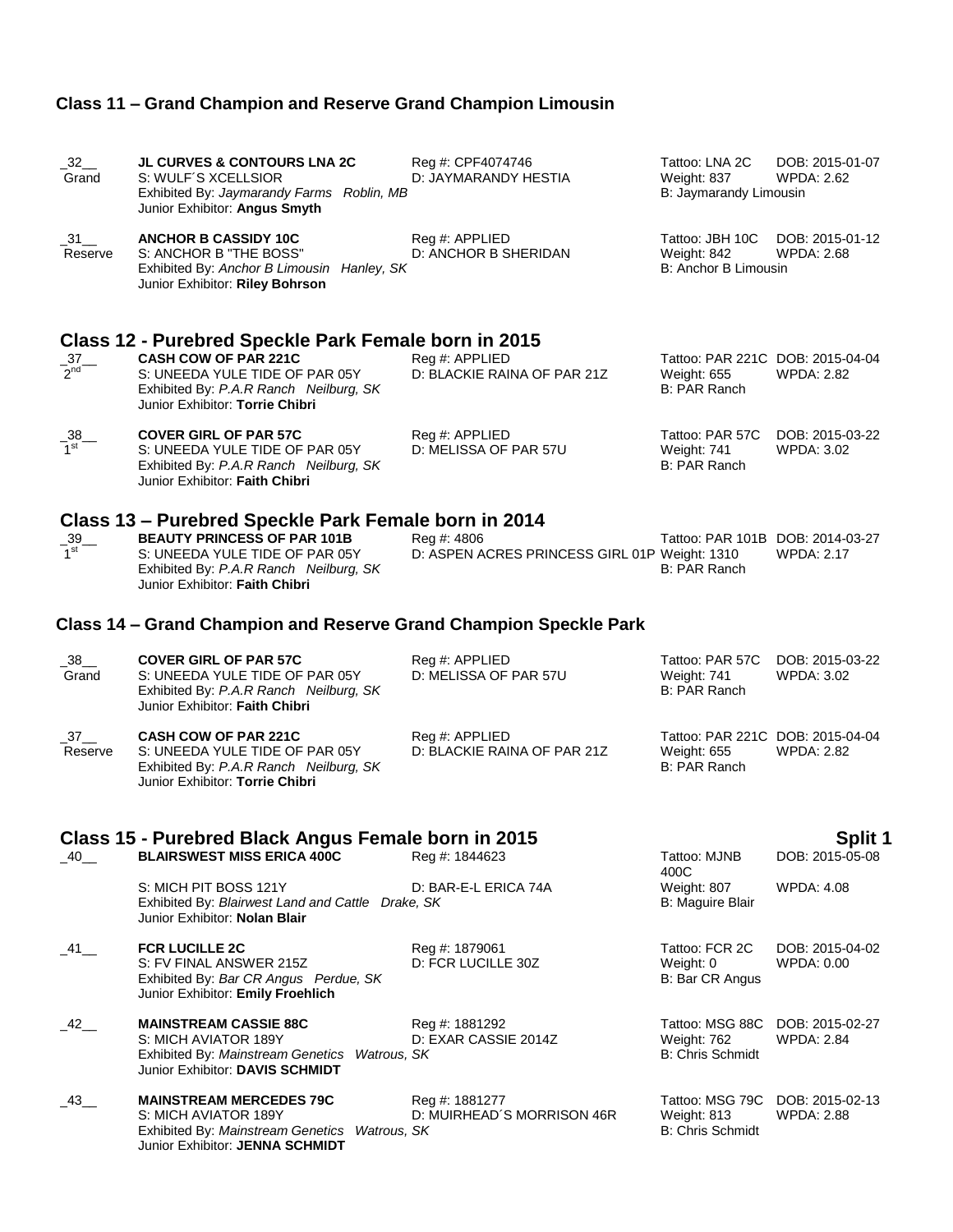# **Class 11 – Grand Champion and Reserve Grand Champion Limousin**

| $-32$<br>Grand                 | <b>JL CURVES &amp; CONTOURS LNA 2C</b><br>S: WULF'S XCELLSIOR<br>Exhibited By: Jaymarandy Farms Roblin, MB<br>Junior Exhibitor: Angus Smyth      | Reg #: CPF4074746<br>D: JAYMARANDY HESTIA                    | Tattoo: LNA 2C<br>Weight: 837<br>B: Jaymarandy Limousin                | DOB: 2015-01-07<br><b>WPDA: 2.62</b> |
|--------------------------------|--------------------------------------------------------------------------------------------------------------------------------------------------|--------------------------------------------------------------|------------------------------------------------------------------------|--------------------------------------|
| $\_31$ <sub>—</sub><br>Reserve | <b>ANCHOR B CASSIDY 10C</b><br>S: ANCHOR B "THE BOSS"<br>Exhibited By: Anchor B Limousin Hanley, SK<br>Junior Exhibitor: Riley Bohrson           | Reg #: APPLIED<br>D: ANCHOR B SHERIDAN                       | Tattoo: JBH 10C<br>Weight: 842<br>B: Anchor B Limousin                 | DOB: 2015-01-12<br><b>WPDA: 2.68</b> |
| $-37$ – 2nd                    | Class 12 - Purebred Speckle Park Female born in 2015<br><b>CASH COW OF PAR 221C</b><br>S: UNEEDA YULE TIDE OF PAR 05Y                            | Reg #: APPLIED<br>D: BLACKIE RAINA OF PAR 21Z                | Tattoo: PAR 221C DOB: 2015-04-04<br><b>Weight: 655</b>                 | <b>WPDA: 2.82</b>                    |
|                                | Exhibited By: P.A.R Ranch Neilburg, SK<br>Junior Exhibitor: Torrie Chibri                                                                        |                                                              | B: PAR Ranch                                                           |                                      |
| $\frac{38}{1^{st}}$            | <b>COVER GIRL OF PAR 57C</b><br>S: UNEEDA YULE TIDE OF PAR 05Y<br>Exhibited By: P.A.R Ranch Neilburg, SK<br>Junior Exhibitor: Faith Chibri       | Reg #: APPLIED<br>D: MELISSA OF PAR 57U                      | Tattoo: PAR 57C<br>Weight: 741<br>B: PAR Ranch                         | DOB: 2015-03-22<br><b>WPDA: 3.02</b> |
|                                | Class 13 – Purebred Speckle Park Female born in 2014                                                                                             |                                                              |                                                                        |                                      |
| $\frac{39}{1}$                 | <b>BEAUTY PRINCESS OF PAR 101B</b><br>S: UNEEDA YULE TIDE OF PAR 05Y<br>Exhibited By: P.A.R Ranch Neilburg, SK<br>Junior Exhibitor: Faith Chibri | Reg #: 4806<br>D: ASPEN ACRES PRINCESS GIRL 01P Weight: 1310 | Tattoo: PAR 101B DOB: 2014-03-27<br>B: PAR Ranch                       | <b>WPDA: 2.17</b>                    |
|                                | Class 14 – Grand Champion and Reserve Grand Champion Speckle Park                                                                                |                                                              |                                                                        |                                      |
| 38<br>Grand                    | <b>COVER GIRL OF PAR 57C</b><br>S: UNEEDA YULE TIDE OF PAR 05Y<br>Exhibited By: P.A.R Ranch Neilburg, SK<br>Junior Exhibitor: Faith Chibri       | Reg #: APPLIED<br>D: MELISSA OF PAR 57U                      | Tattoo: PAR 57C<br>Weight: 741<br>B: PAR Ranch                         | DOB: 2015-03-22<br><b>WPDA: 3.02</b> |
| $-37$<br>Reserve               | <b>CASH COW OF PAR 221C</b><br>S: UNEEDA YULE TIDE OF PAR 05Y<br>Exhibited By: P.A.R Ranch Neilburg, SK<br>Junior Exhibitor: Torrie Chibri       | Reg #: APPLIED<br>D: BLACKIE RAINA OF PAR 21Z                | Tattoo: PAR 221C DOB: 2015-04-04<br><b>Weight: 655</b><br>B: PAR Ranch | <b>WPDA: 2.82</b>                    |
|                                | Class 15 - Purebred Black Angus Female born in 2015                                                                                              |                                                              |                                                                        | <b>Split 1</b>                       |
| $-40$ <sub>—</sub>             | <b>BLAIRSWEST MISS ERICA 400C</b>                                                                                                                | Reg #: 1844623                                               | Tattoo: MJNB<br>400C                                                   | DOB: 2015-05-08                      |
|                                | S: MICH PIT BOSS 121Y<br>Exhibited By: Blairwest Land and Cattle Drake, SK<br>Junior Exhibitor: Nolan Blair                                      | D: BAR-E-L ERICA 74A                                         | Weight: 807<br>B: Maguire Blair                                        | <b>WPDA: 4.08</b>                    |
| $\_$ 41 $\_$                   | <b>FCR LUCILLE 2C</b><br>S: FV FINAL ANSWER 215Z<br>Exhibited By: Bar CR Angus Perdue, SK<br>Junior Exhibitor: Emily Froehlich                   | Reg #: 1879061<br>D: FCR LUCILLE 30Z                         | Tattoo: FCR 2C<br>Weight: 0<br>B: Bar CR Angus                         | DOB: 2015-04-02<br>WPDA: 0.00        |
| $-42$ $-$                      | <b>MAINSTREAM CASSIE 88C</b><br>S: MICH AVIATOR 189Y<br>Exhibited By: Mainstream Genetics Watrous, SK<br>Junior Exhibitor: DAVIS SCHMIDT         | Reg #: 1881292<br>D: EXAR CASSIE 2014Z                       | Tattoo: MSG 88C<br>Weight: 762<br><b>B: Chris Schmidt</b>              | DOB: 2015-02-27<br><b>WPDA: 2.84</b> |
| _43__                          | <b>MAINSTREAM MERCEDES 79C</b><br>S: MICH AVIATOR 189Y<br>Exhibited By: Mainstream Genetics<br>Watrous, SK<br>Junior Exhibitor: JENNA SCHMIDT    | Reg #: 1881277<br>D: MUIRHEAD´S MORRISON 46R                 | Tattoo: MSG 79C<br>Weight: 813<br><b>B: Chris Schmidt</b>              | DOB: 2015-02-13<br>WPDA: 2.88        |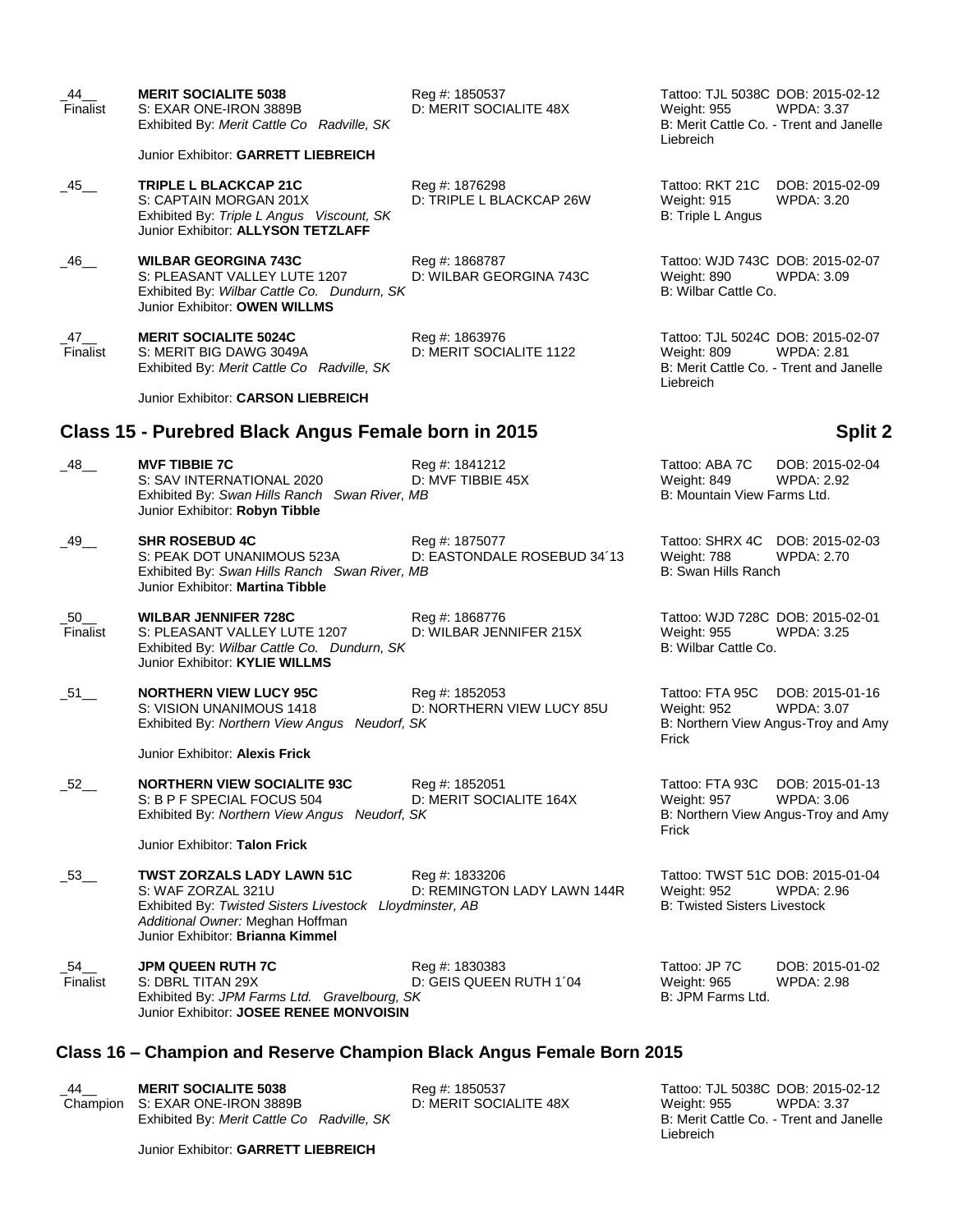| 44<br>Finalist        | <b>MERIT SOCIALITE 5038</b><br>S: EXAR ONE-IRON 3889B<br>Exhibited By: Merit Cattle Co Radville, SK                                                                                         | Reg #: 1850537<br>D: MERIT SOCIALITE 48X      | Tattoo: TJL 5038C DOB: 2015-02-12<br><b>Weight: 955</b><br>Liebreich                   | <b>WPDA: 3.37</b><br>B: Merit Cattle Co. - Trent and Janelle                |
|-----------------------|---------------------------------------------------------------------------------------------------------------------------------------------------------------------------------------------|-----------------------------------------------|----------------------------------------------------------------------------------------|-----------------------------------------------------------------------------|
|                       | Junior Exhibitor: GARRETT LIEBREICH                                                                                                                                                         |                                               |                                                                                        |                                                                             |
| $-45$ <sub>—</sub>    | <b>TRIPLE L BLACKCAP 21C</b><br>S: CAPTAIN MORGAN 201X<br>Exhibited By: Triple L Angus Viscount, SK<br>Junior Exhibitor: ALLYSON TETZLAFF                                                   | Reg #: 1876298<br>D: TRIPLE L BLACKCAP 26W    | Tattoo: RKT 21C<br>Weight: 915<br>B: Triple L Angus                                    | DOB: 2015-02-09<br>WPDA: 3.20                                               |
| _46__                 | <b>WILBAR GEORGINA 743C</b><br>S: PLEASANT VALLEY LUTE 1207<br>Exhibited By: Wilbar Cattle Co. Dundurn, SK<br>Junior Exhibitor: OWEN WILLMS                                                 | Reg #: 1868787<br>D: WILBAR GEORGINA 743C     | Tattoo: WJD 743C DOB: 2015-02-07<br>Weight: 890<br>B: Wilbar Cattle Co.                | WPDA: 3.09                                                                  |
| _47__<br>Finalist     | <b>MERIT SOCIALITE 5024C</b><br>S: MERIT BIG DAWG 3049A<br>Exhibited By: Merit Cattle Co Radville, SK                                                                                       | Reg #: 1863976<br>D: MERIT SOCIALITE 1122     | Tattoo: TJL 5024C DOB: 2015-02-07<br>Weight: 809<br>Liebreich                          | <b>WPDA: 2.81</b><br>B: Merit Cattle Co. - Trent and Janelle                |
|                       | Junior Exhibitor: CARSON LIEBREICH                                                                                                                                                          |                                               |                                                                                        |                                                                             |
|                       | Class 15 - Purebred Black Angus Female born in 2015                                                                                                                                         |                                               |                                                                                        | <b>Split 2</b>                                                              |
| $-48$ <sub>—</sub>    | <b>MVF TIBBIE 7C</b><br>S: SAV INTERNATIONAL 2020<br>Exhibited By: Swan Hills Ranch Swan River, MB<br>Junior Exhibitor: Robyn Tibble                                                        | Reg #: 1841212<br>D: MVF TIBBIE 45X           | Tattoo: ABA 7C<br>Weight: 849<br>B: Mountain View Farms Ltd.                           | DOB: 2015-02-04<br><b>WPDA: 2.92</b>                                        |
| _49__                 | <b>SHR ROSEBUD 4C</b><br>S: PEAK DOT UNANIMOUS 523A<br>Exhibited By: Swan Hills Ranch Swan River, MB<br>Junior Exhibitor: Martina Tibble                                                    | Reg #: 1875077<br>D: EASTONDALE ROSEBUD 34'13 | Tattoo: SHRX 4C<br>Weight: 788<br>B: Swan Hills Ranch                                  | DOB: 2015-02-03<br><b>WPDA: 2.70</b>                                        |
| $\_50$ __<br>Finalist | <b>WILBAR JENNIFER 728C</b><br>S: PLEASANT VALLEY LUTE 1207<br>Exhibited By: Wilbar Cattle Co. Dundurn, SK<br>Junior Exhibitor: KYLIE WILLMS                                                | Reg #: 1868776<br>D: WILBAR JENNIFER 215X     | Tattoo: WJD 728C DOB: 2015-02-01<br>Weight: 955<br>B: Wilbar Cattle Co.                | <b>WPDA: 3.25</b>                                                           |
| $\_51$ $\_$           | <b>NORTHERN VIEW LUCY 95C</b><br>S: VISION UNANIMOUS 1418<br>Exhibited By: Northern View Angus Neudorf, SK                                                                                  | Reg #: 1852053<br>D: NORTHERN VIEW LUCY 85U   | Tattoo: FTA 95C<br>Weight: 952<br>Frick                                                | DOB: 2015-01-16<br><b>WPDA: 3.07</b><br>B: Northern View Angus-Troy and Amy |
|                       | Junior Exhibitor: Alexis Frick                                                                                                                                                              |                                               |                                                                                        |                                                                             |
| $\_52$ __             | <b>NORTHERN VIEW SOCIALITE 93C</b><br>S: B P F SPECIAL FOCUS 504<br>Exhibited By: Northern View Angus Neudorf, SK                                                                           | Reg #: 1852051<br>D: MERIT SOCIALITE 164X     | Tattoo: FTA 93C<br>Weight: 957<br>Frick                                                | DOB: 2015-01-13<br><b>WPDA: 3.06</b><br>B: Northern View Angus-Troy and Amy |
|                       | Junior Exhibitor: Talon Frick                                                                                                                                                               |                                               |                                                                                        |                                                                             |
| $-53$                 | <b>TWST ZORZALS LADY LAWN 51C</b><br>S: WAF ZORZAL 321U<br>Exhibited By: Twisted Sisters Livestock Lloydminster, AB<br>Additional Owner: Meghan Hoffman<br>Junior Exhibitor: Brianna Kimmel | Reg #: 1833206<br>D: REMINGTON LADY LAWN 144R | Tattoo: TWST 51C DOB: 2015-01-04<br>Weight: 952<br><b>B: Twisted Sisters Livestock</b> | WPDA: 2.96                                                                  |
| _54__<br>Finalist     | <b>JPM QUEEN RUTH 7C</b><br>S: DBRL TITAN 29X<br>Exhibited By: JPM Farms Ltd. Gravelbourg, SK<br>Junior Exhibitor: JOSEE RENEE MONVOISIN                                                    | Reg #: 1830383<br>D: GEIS QUEEN RUTH 1'04     | Tattoo: JP 7C<br>Weight: 965<br>B: JPM Farms Ltd.                                      | DOB: 2015-01-02<br><b>WPDA: 2.98</b>                                        |
|                       | Class 16 – Champion and Reserve Champion Black Angus Female Born 2015                                                                                                                       |                                               |                                                                                        |                                                                             |

Champion S: EXAR ONE-IRON 3889B D: MERIT SOCIALITE 48X Weight: 955 WPDA: 3.37

\_44\_\_ **MERIT SOCIALITE 5038** Reg #: 1850537 Tattoo: TJL 5038C DOB: 2015-02-12 Exhibited By: *MERIT* SOCIALITE 5038<br>
Exar ONE-IRON 3889B<br>
Exhibited By: *Merit Cattle Co Radville, SK*<br>
B: Merit Cattle Co. - Trent and Janelle<br>
B: Merit Cattle Co. - Trent and Janelle Liebreich

Junior Exhibitor: **GARRETT LIEBREICH**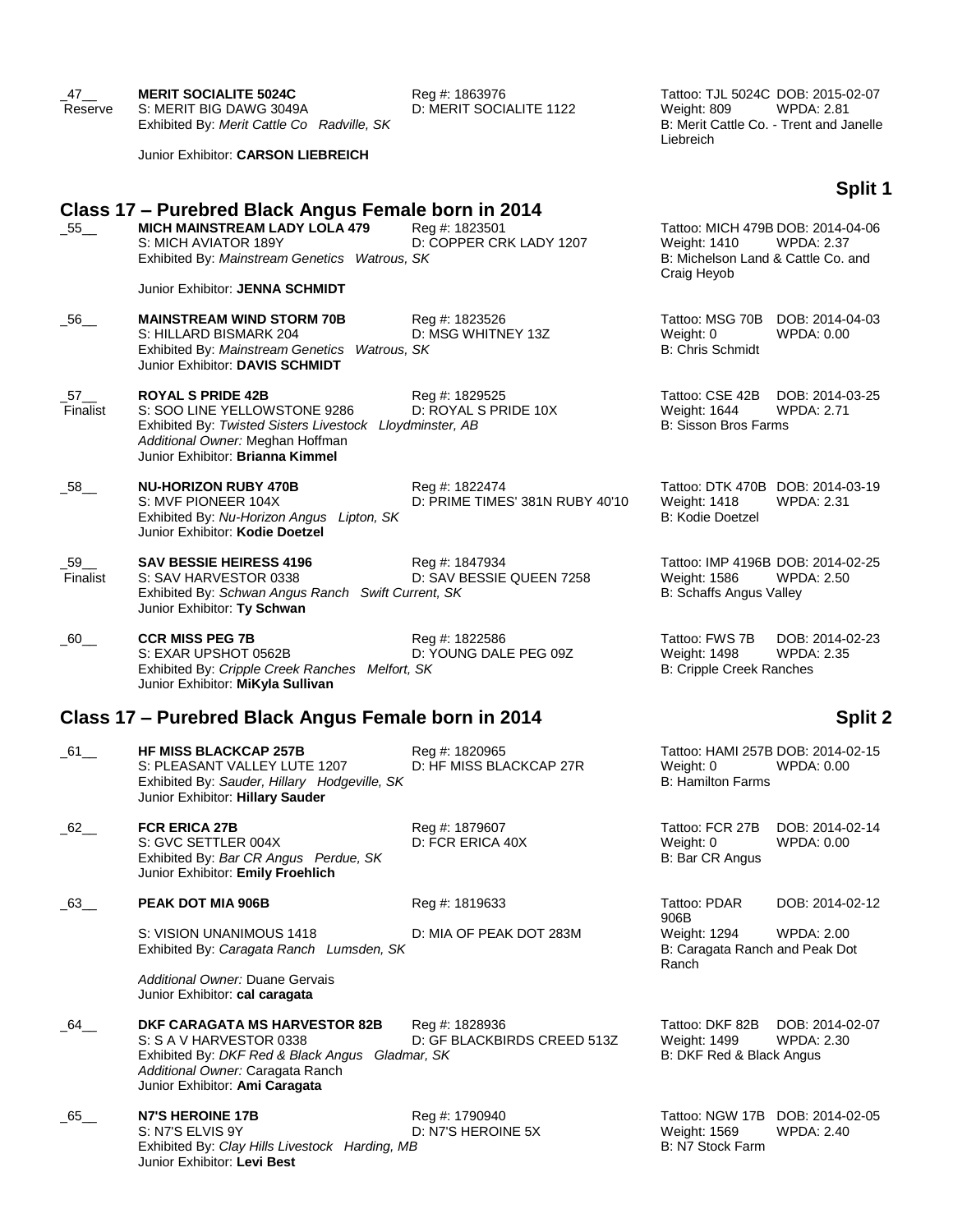| $-47$ <sub>—</sub><br>Reserve  | <b>MERIT SOCIALITE 5024C</b><br>S: MERIT BIG DAWG 3049A<br>Exhibited By: Merit Cattle Co Radville, SK                                                                                        | Reg #: 1863976<br>D: MERIT SOCIALITE 1122         | Tattoo: TJL 5024C DOB: 2015-02-07<br>Weight: 809<br>Liebreich                                          | <b>WPDA: 2.81</b><br>B: Merit Cattle Co. - Trent and Janelle |
|--------------------------------|----------------------------------------------------------------------------------------------------------------------------------------------------------------------------------------------|---------------------------------------------------|--------------------------------------------------------------------------------------------------------|--------------------------------------------------------------|
|                                | Junior Exhibitor: CARSON LIEBREICH                                                                                                                                                           |                                                   |                                                                                                        |                                                              |
|                                |                                                                                                                                                                                              |                                                   |                                                                                                        | Split 1                                                      |
| $\_55$ <sub>——</sub>           | Class 17 – Purebred Black Angus Female born in 2014<br><b>MICH MAINSTREAM LADY LOLA 479</b><br>S: MICH AVIATOR 189Y<br>Exhibited By: Mainstream Genetics Watrous, SK                         | Reg #: 1823501<br>D: COPPER CRK LADY 1207         | Tattoo: MICH 479B DOB: 2014-04-06<br>Weight: 1410<br>B: Michelson Land & Cattle Co. and<br>Craig Heyob | <b>WPDA: 2.37</b>                                            |
|                                | Junior Exhibitor: JENNA SCHMIDT                                                                                                                                                              |                                                   |                                                                                                        |                                                              |
| _56__                          | <b>MAINSTREAM WIND STORM 70B</b><br>S: HILLARD BISMARK 204<br>Exhibited By: Mainstream Genetics Watrous, SK<br>Junior Exhibitor: DAVIS SCHMIDT                                               | Reg #: 1823526<br>D: MSG WHITNEY 13Z              | Tattoo: MSG 70B DOB: 2014-04-03<br>Weight: 0<br><b>B: Chris Schmidt</b>                                | WPDA: 0.00                                                   |
| $-57$ <sub>—</sub><br>Finalist | <b>ROYAL S PRIDE 42B</b><br>S: SOO LINE YELLOWSTONE 9286<br>Exhibited By: Twisted Sisters Livestock Lloydminster, AB<br>Additional Owner: Meghan Hoffman<br>Junior Exhibitor: Brianna Kimmel | Reg #: 1829525<br>D: ROYAL S PRIDE 10X            | Tattoo: CSE 42B<br>Weight: 1644<br><b>B: Sisson Bros Farms</b>                                         | DOB: 2014-03-25<br><b>WPDA: 2.71</b>                         |
| -58__                          | <b>NU-HORIZON RUBY 470B</b><br>S: MVF PIONEER 104X<br>Exhibited By: Nu-Horizon Angus Lipton, SK<br>Junior Exhibitor: Kodie Doetzel                                                           | Reg #: 1822474<br>D: PRIME TIMES' 381N RUBY 40'10 | Tattoo: DTK 470B DOB: 2014-03-19<br>Weight: 1418<br>B: Kodie Doetzel                                   | WPDA: 2.31                                                   |
| $\_59$ __<br>Finalist          | <b>SAV BESSIE HEIRESS 4196</b><br>S: SAV HARVESTOR 0338<br>Exhibited By: Schwan Angus Ranch Swift Current, SK<br>Junior Exhibitor: Ty Schwan                                                 | Reg #: 1847934<br>D: SAV BESSIE QUEEN 7258        | Tattoo: IMP 4196B DOB: 2014-02-25<br>Weight: 1586<br>B: Schaffs Angus Valley                           | <b>WPDA: 2.50</b>                                            |
| $-60$ <sub>—</sub>             | <b>CCR MISS PEG 7B</b><br>S: EXAR UPSHOT 0562B<br>Exhibited By: Cripple Creek Ranches Melfort, SK<br>Junior Exhibitor: MiKyla Sullivan                                                       | Reg #: 1822586<br>D: YOUNG DALE PEG 09Z           | Tattoo: FWS 7B<br>Weight: 1498<br>B: Cripple Creek Ranches                                             | DOB: 2014-02-23<br><b>WPDA: 2.35</b>                         |
|                                | Class 17 – Purebred Black Angus Female born in 2014                                                                                                                                          |                                                   |                                                                                                        | <b>Split 2</b>                                               |
| $\_61$ ___                     | <b>HF MISS BLACKCAP 257B</b><br>S: PLEASANT VALLEY LUTE 1207<br>Exhibited By: Sauder, Hillary Hodgeville, SK<br>Junior Exhibitor: Hillary Sauder                                             | Reg #: 1820965<br>D: HF MISS BLACKCAP 27R         | Tattoo: HAMI 257B DOB: 2014-02-15<br>Weight: 0<br>B: Hamilton Farms                                    | WPDA: 0.00                                                   |
| $62-$                          | <b>FCR ERICA 27B</b><br>S: GVC SETTLER 004X<br>Exhibited By: Bar CR Angus Perdue, SK<br>Junior Exhibitor: Emily Froehlich                                                                    | Reg #: 1879607<br>D: FCR ERICA 40X                | Tattoo: FCR 27B<br>Weight: 0<br>B: Bar CR Angus                                                        | DOB: 2014-02-14<br>WPDA: 0.00                                |
| $\_63$ __                      | PEAK DOT MIA 906B                                                                                                                                                                            | Reg #: 1819633                                    | Tattoo: PDAR                                                                                           | DOB: 2014-02-12                                              |
|                                | S: VISION UNANIMOUS 1418<br>Exhibited By: Caragata Ranch Lumsden, SK                                                                                                                         | D: MIA OF PEAK DOT 283M                           | 906B<br>Weight: 1294<br>B: Caragata Ranch and Peak Dot<br>Ranch                                        | WPDA: 2.00                                                   |
|                                | Additional Owner: Duane Gervais<br>Junior Exhibitor: cal caragata                                                                                                                            |                                                   |                                                                                                        |                                                              |
| 64                             | DKF CARAGATA MS HARVESTOR 82B<br>S: S A V HARVESTOR 0338<br>Exhibited By: DKF Red & Black Angus Gladmar, SK<br>Additional Owner: Caragata Ranch<br>Junior Exhibitor: Ami Caragata            | Reg #: 1828936<br>D: GF BLACKBIRDS CREED 513Z     | Tattoo: DKF 82B<br>Weight: 1499<br>B: DKF Red & Black Angus                                            | DOB: 2014-02-07<br>WPDA: 2.30                                |
| 65                             | N7'S HEROINE 17B<br>S: N7'S ELVIS 9Y<br>Exhibited By: Clay Hills Livestock Harding, MB<br>Junior Exhibitor: Levi Best                                                                        | Reg #: 1790940<br>D: N7'S HEROINE 5X              | Tattoo: NGW 17B DOB: 2014-02-05<br>Weight: 1569<br>B: N7 Stock Farm                                    | WPDA: 2.40                                                   |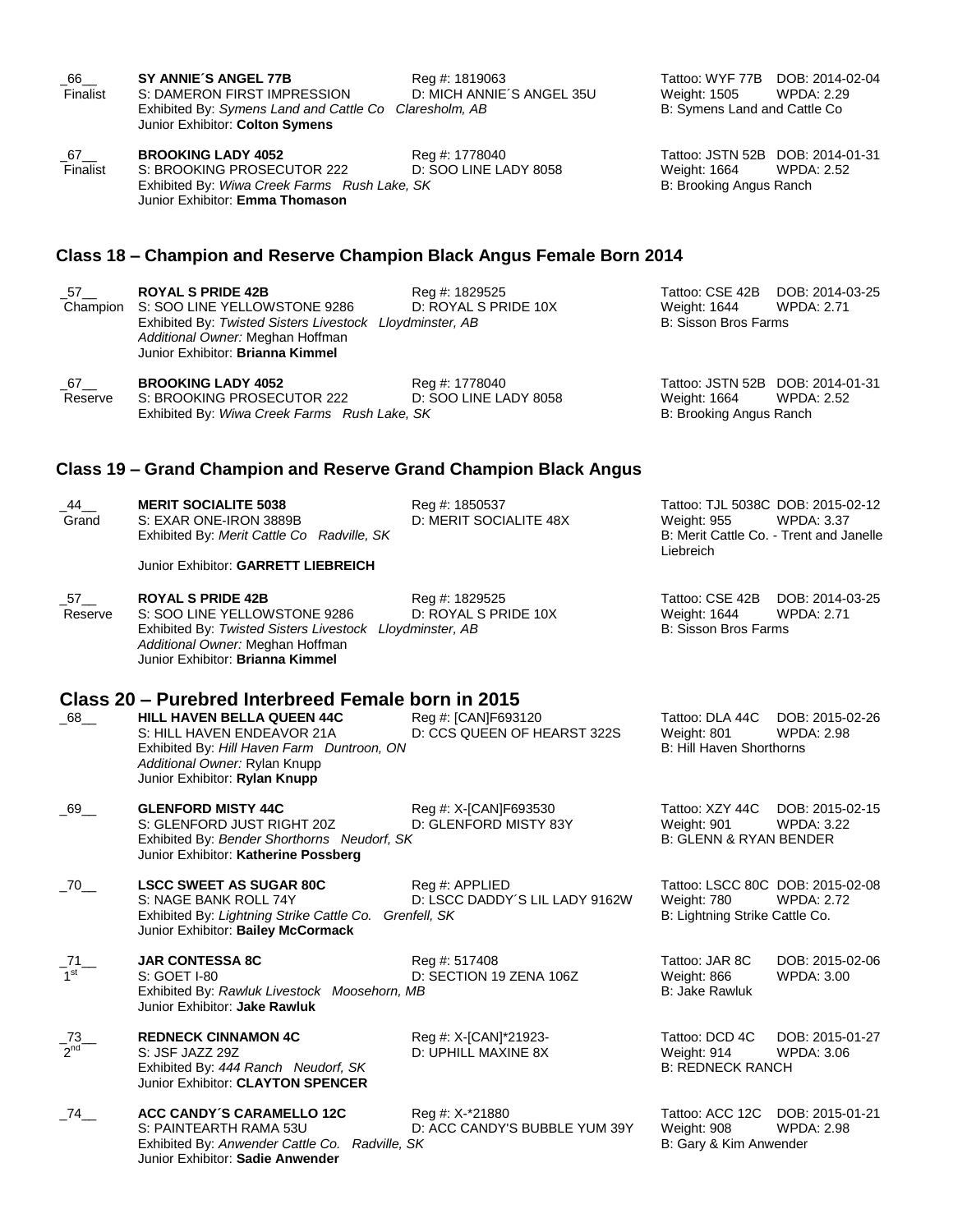| 66<br>Finalist           | SY ANNIE'S ANGEL 77B<br>S: DAMERON FIRST IMPRESSION<br>Exhibited By: Symens Land and Cattle Co Claresholm, AB<br>Junior Exhibitor: Colton Symens                                             | Reg #: 1819063<br>D: MICH ANNIE'S ANGEL 35U                      | Tattoo: WYF 77B DOB: 2014-02-04<br><b>Weight: 1505</b><br>B: Symens Land and Cattle Co. | <b>WPDA: 2.29</b>                                            |
|--------------------------|----------------------------------------------------------------------------------------------------------------------------------------------------------------------------------------------|------------------------------------------------------------------|-----------------------------------------------------------------------------------------|--------------------------------------------------------------|
| 67_<br>Finalist          | <b>BROOKING LADY 4052</b><br>S: BROOKING PROSECUTOR 222<br>Exhibited By: Wiwa Creek Farms Rush Lake, SK<br>Junior Exhibitor: Emma Thomason                                                   | Reg #: 1778040<br>D: SOO LINE LADY 8058                          | Tattoo: JSTN 52B DOB: 2014-01-31<br>Weight: 1664<br>B: Brooking Angus Ranch             | <b>WPDA: 2.52</b>                                            |
|                          | Class 18 – Champion and Reserve Champion Black Angus Female Born 2014                                                                                                                        |                                                                  |                                                                                         |                                                              |
| _57__<br>Champion        | <b>ROYAL S PRIDE 42B</b><br>S: SOO LINE YELLOWSTONE 9286<br>Exhibited By: Twisted Sisters Livestock Lloydminster, AB<br>Additional Owner: Meghan Hoffman<br>Junior Exhibitor: Brianna Kimmel | Reg #: 1829525<br>D: ROYAL S PRIDE 10X                           | Tattoo: CSE 42B<br>Weight: 1644<br><b>B: Sisson Bros Farms</b>                          | DOB: 2014-03-25<br><b>WPDA: 2.71</b>                         |
| $\_67$ ___<br>Reserve    | <b>BROOKING LADY 4052</b><br>S: BROOKING PROSECUTOR 222<br>Exhibited By: Wiwa Creek Farms Rush Lake, SK                                                                                      | Reg #: 1778040<br>D: SOO LINE LADY 8058                          | Tattoo: JSTN 52B DOB: 2014-01-31<br>Weight: 1664<br>B: Brooking Angus Ranch             | <b>WPDA: 2.52</b>                                            |
|                          | Class 19 – Grand Champion and Reserve Grand Champion Black Angus                                                                                                                             |                                                                  |                                                                                         |                                                              |
| $-44$<br>Grand           | <b>MERIT SOCIALITE 5038</b><br>S: EXAR ONE-IRON 3889B<br>Exhibited By: Merit Cattle Co Radville, SK                                                                                          | Reg #: 1850537<br>D: MERIT SOCIALITE 48X                         | Tattoo: TJL 5038C DOB: 2015-02-12<br>Weight: 955<br>Liebreich                           | <b>WPDA: 3.37</b><br>B: Merit Cattle Co. - Trent and Janelle |
|                          | Junior Exhibitor: GARRETT LIEBREICH                                                                                                                                                          |                                                                  |                                                                                         |                                                              |
| _57__<br>Reserve         | <b>ROYAL S PRIDE 42B</b><br>S: SOO LINE YELLOWSTONE 9286<br>Exhibited By: Twisted Sisters Livestock Lloydminster, AB<br>Additional Owner: Meghan Hoffman<br>Junior Exhibitor: Brianna Kimmel | Reg #: 1829525<br>D: ROYAL S PRIDE 10X                           | Tattoo: CSE 42B<br>Weight: 1644<br><b>B: Sisson Bros Farms</b>                          | DOB: 2014-03-25<br><b>WPDA: 2.71</b>                         |
|                          | Class 20 - Purebred Interbreed Female born in 2015                                                                                                                                           |                                                                  |                                                                                         |                                                              |
| $-68$ <sub>—</sub>       | <b>HILL HAVEN BELLA QUEEN 44C</b><br>S: HILL HAVEN ENDEAVOR 21A<br>Exhibited By: Hill Haven Farm Duntroon, ON<br>Additional Owner: Rylan Knupp<br>Junior Exhibitor: Rylan Knupp              | Reg #: [CAN]F693120<br>D: CCS QUEEN OF HEARST 322S               | Tattoo: DLA 44C<br>Weight: 801<br><b>B: Hill Haven Shorthorns</b>                       | DOB: 2015-02-26<br><b>WPDA: 2.98</b>                         |
| $\_69\_$                 | <b>GLENFORD MISTY 44C</b><br>S: GLENFORD JUST RIGHT 20Z<br>Exhibited By: Bender Shorthorns Neudorf, SK<br>Junior Exhibitor: Katherine Possberg                                               | Reg #: X-[CAN]F693530<br>D: GLENFORD MISTY 83Y                   | Tattoo: XZY 44C<br>Weight: 901<br>B: GLENN & RYAN BENDER                                | DOB: 2015-02-15<br><b>WPDA: 3.22</b>                         |
| $\_70$ <sub>—</sub>      | <b>LSCC SWEET AS SUGAR 80C</b><br>S: NAGE BANK ROLL 74Y<br>Exhibited By: Lightning Strike Cattle Co.<br>Junior Exhibitor: Bailey McCormack                                                   | Reg #: APPLIED<br>D: LSCC DADDY'S LIL LADY 9162W<br>Grenfell, SK | Tattoo: LSCC 80C DOB: 2015-02-08<br>Weight: 780<br>B: Lightning Strike Cattle Co.       | <b>WPDA: 2.72</b>                                            |
| $-\frac{71}{1}$ –        | <b>JAR CONTESSA 8C</b><br>S: GOET I-80<br>Exhibited By: Rawluk Livestock Moosehorn, MB<br>Junior Exhibitor: Jake Rawluk                                                                      | Reg #: 517408<br>D: SECTION 19 ZENA 106Z                         | Tattoo: JAR 8C<br>Weight: 866<br>B: Jake Rawluk                                         | DOB: 2015-02-06<br><b>WPDA: 3.00</b>                         |
| $-73$<br>2 <sup>nd</sup> | <b>REDNECK CINNAMON 4C</b><br>S: JSF JAZZ 29Z<br>Exhibited By: 444 Ranch Neudorf, SK<br>Junior Exhibitor: CLAYTON SPENCER                                                                    | Reg #: X-[CAN]*21923-<br>D: UPHILL MAXINE 8X                     | Tattoo: DCD 4C<br>Weight: 914<br><b>B: REDNECK RANCH</b>                                | DOB: 2015-01-27<br><b>WPDA: 3.06</b>                         |
| _74__                    | <b>ACC CANDY'S CARAMELLO 12C</b><br>S: PAINTEARTH RAMA 53U<br>Exhibited By: Anwender Cattle Co. Radville, SK<br>Junior Exhibitor: Sadie Anwender                                             | Reg #: X-*21880<br>D: ACC CANDY'S BUBBLE YUM 39Y                 | Tattoo: ACC 12C<br>Weight: 908<br>B: Gary & Kim Anwender                                | DOB: 2015-01-21<br><b>WPDA: 2.98</b>                         |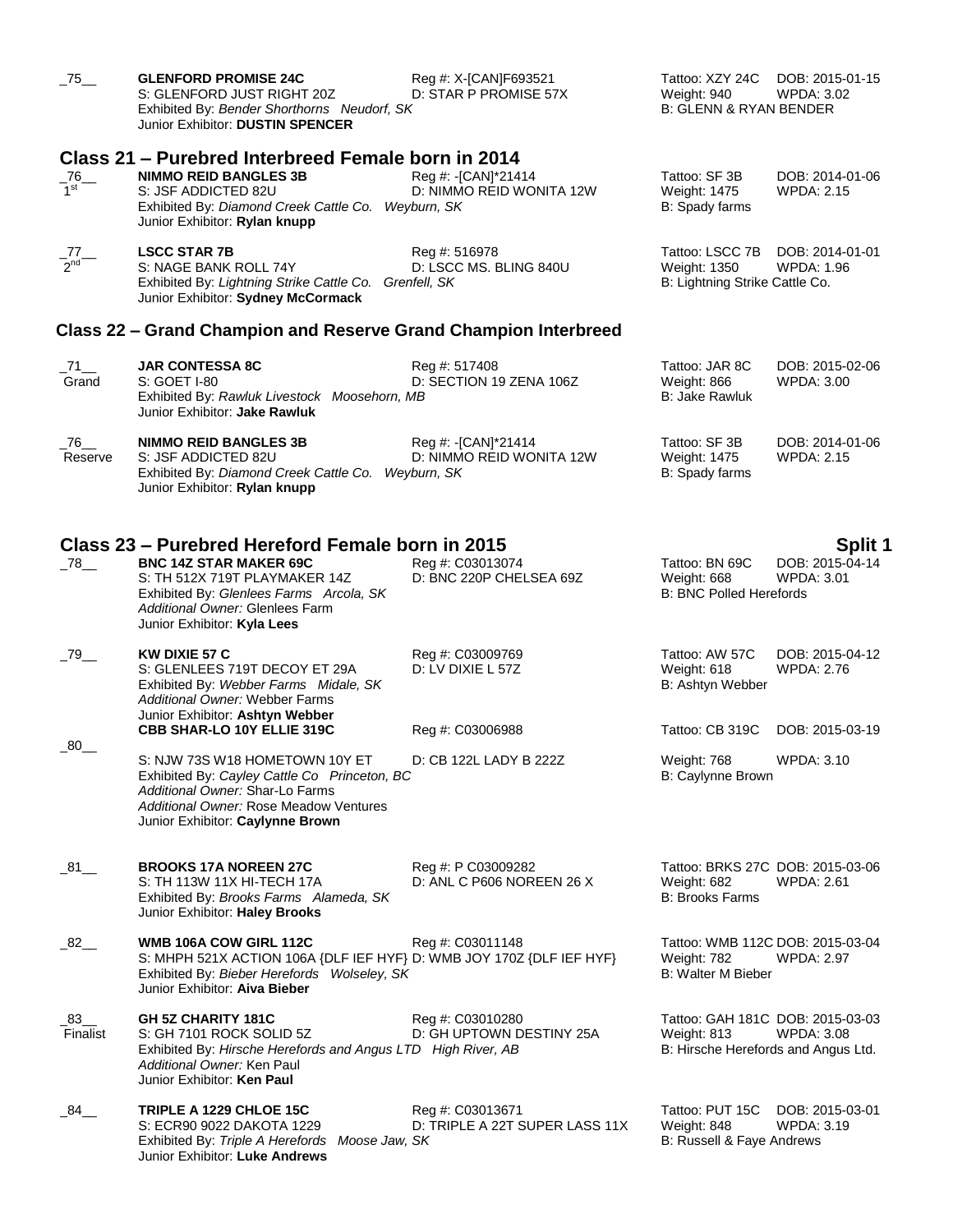| $-75$ <sub>—</sub>       | <b>GLENFORD PROMISE 24C</b><br>S: GLENFORD JUST RIGHT 20Z<br>Exhibited By: Bender Shorthorns Neudorf, SK<br>Junior Exhibitor: DUSTIN SPENCER                                                    | Reg #: X-[CAN]F693521<br>D: STAR P PROMISE 57X     | Tattoo: XZY 24C<br>Weight: 940<br><b>B: GLENN &amp; RYAN BENDER</b>                    | DOB: 2015-01-15<br><b>WPDA: 3.02</b> |
|--------------------------|-------------------------------------------------------------------------------------------------------------------------------------------------------------------------------------------------|----------------------------------------------------|----------------------------------------------------------------------------------------|--------------------------------------|
|                          | Class 21 – Purebred Interbreed Female born in 2014                                                                                                                                              |                                                    |                                                                                        |                                      |
| $-76$<br>1 <sup>st</sup> | <b>NIMMO REID BANGLES 3B</b><br>S: JSF ADDICTED 82U<br>Exhibited By: Diamond Creek Cattle Co. Weyburn, SK<br>Junior Exhibitor: Rylan knupp                                                      | Reg #: -[CAN]*21414<br>D: NIMMO REID WONITA 12W    | Tattoo: SF 3B<br>Weight: 1475<br>B: Spady farms                                        | DOB: 2014-01-06<br><b>WPDA: 2.15</b> |
| $-77$<br>$2nd$           | <b>LSCC STAR 7B</b><br>S: NAGE BANK ROLL 74Y<br>Exhibited By: Lightning Strike Cattle Co. Grenfell, SK<br>Junior Exhibitor: Sydney McCormack                                                    | Reg #: 516978<br>D: LSCC MS. BLING 840U            | Tattoo: LSCC 7B<br>Weight: 1350<br>B: Lightning Strike Cattle Co.                      | DOB: 2014-01-01<br><b>WPDA: 1.96</b> |
|                          | Class 22 – Grand Champion and Reserve Grand Champion Interbreed                                                                                                                                 |                                                    |                                                                                        |                                      |
| 271<br>Grand             | <b>JAR CONTESSA 8C</b><br>S: GOET I-80<br>Exhibited By: Rawluk Livestock Moosehorn, MB<br>Junior Exhibitor: Jake Rawluk                                                                         | Reg #: 517408<br>D: SECTION 19 ZENA 106Z           | Tattoo: JAR 8C<br>Weight: 866<br><b>B: Jake Rawluk</b>                                 | DOB: 2015-02-06<br>WPDA: 3.00        |
| 76_<br>Reserve           | <b>NIMMO REID BANGLES 3B</b><br>S: JSF ADDICTED 82U<br>Exhibited By: Diamond Creek Cattle Co. Weyburn, SK<br>Junior Exhibitor: Rylan knupp                                                      | Reg #: -[CAN]*21414<br>D: NIMMO REID WONITA 12W    | Tattoo: SF 3B<br>Weight: 1475<br>B: Spady farms                                        | DOB: 2014-01-06<br><b>WPDA: 2.15</b> |
|                          | Class 23 – Purebred Hereford Female born in 2015                                                                                                                                                |                                                    |                                                                                        | Split 1                              |
| $-78$ <sub>--</sub>      | <b>BNC 14Z STAR MAKER 69C</b><br>S: TH 512X 719T PLAYMAKER 14Z<br>Exhibited By: Glenlees Farms Arcola, SK<br>Additional Owner: Glenlees Farm<br>Junior Exhibitor: Kyla Lees                     | Reg #: C03013074<br>D: BNC 220P CHELSEA 69Z        | Tattoo: BN 69C<br>Weight: 668<br><b>B: BNC Polled Herefords</b>                        | DOB: 2015-04-14<br><b>WPDA: 3.01</b> |
| $-79$                    | <b>KW DIXIE 57 C</b><br>S: GLENLEES 719T DECOY ET 29A<br>Exhibited By: Webber Farms Midale, SK<br>Additional Owner: Webber Farms<br>Junior Exhibitor: Ashtyn Webber                             | Reg #: C03009769<br>D: LV DIXIE L 57Z              | Tattoo: AW 57C<br>Weight: 618<br>B: Ashtyn Webber                                      | DOB: 2015-04-12<br><b>WPDA: 2.76</b> |
|                          | CBB SHAR-LO 10Y ELLIE 319C                                                                                                                                                                      | Reg #: C03006988                                   | Tattoo: CB 319C                                                                        | DOB: 2015-03-19                      |
| $\_80$                   | S: NJW 73S W18 HOMETOWN 10Y ET<br>Exhibited By: Cayley Cattle Co Princeton, BC<br>Additional Owner: Shar-Lo Farms<br>Additional Owner: Rose Meadow Ventures<br>Junior Exhibitor: Caylynne Brown | D: CB 122L LADY B 222Z                             | Weight: 768<br>B: Caylynne Brown                                                       | <b>WPDA: 3.10</b>                    |
| $\_81$ <sub>—</sub>      | <b>BROOKS 17A NOREEN 27C</b><br>S: TH 113W 11X HI-TECH 17A<br>Exhibited By: Brooks Farms Alameda, SK<br>Junior Exhibitor: Haley Brooks                                                          | Reg #: P C03009282<br>D: ANL C P606 NOREEN 26 X    | Tattoo: BRKS 27C DOB: 2015-03-06<br>Weight: 682<br><b>B: Brooks Farms</b>              | WPDA: 2.61                           |
| $\_82$ __                | WMB 106A COW GIRL 112C<br>S: MHPH 521X ACTION 106A {DLF IEF HYF} D: WMB JOY 170Z {DLF IEF HYF}<br>Exhibited By: Bieber Herefords Wolseley, SK<br>Junior Exhibitor: Aiva Bieber                  | Reg #: C03011148                                   | Tattoo: WMB 112C DOB: 2015-03-04<br>Weight: 782<br><b>B: Walter M Bieber</b>           | WPDA: 2.97                           |
| $\_83$ ___<br>Finalist   | GH 5Z CHARITY 181C<br>S: GH 7101 ROCK SOLID 5Z<br>Exhibited By: Hirsche Herefords and Angus LTD High River, AB<br>Additional Owner: Ken Paul<br>Junior Exhibitor: Ken Paul                      | Reg #: C03010280<br>D: GH UPTOWN DESTINY 25A       | Tattoo: GAH 181C DOB: 2015-03-03<br>Weight: 813<br>B: Hirsche Herefords and Angus Ltd. | <b>WPDA: 3.08</b>                    |
| - 84                     | TRIPLE A 1229 CHLOE 15C<br>S: ECR90 9022 DAKOTA 1229<br>Exhibited By: Triple A Herefords Moose Jaw, SK<br>Junior Exhibitor: Luke Andrews                                                        | Reg #: C03013671<br>D: TRIPLE A 22T SUPER LASS 11X | Tattoo: PUT 15C<br>Weight: 848<br>B: Russell & Faye Andrews                            | DOB: 2015-03-01<br><b>WPDA: 3.19</b> |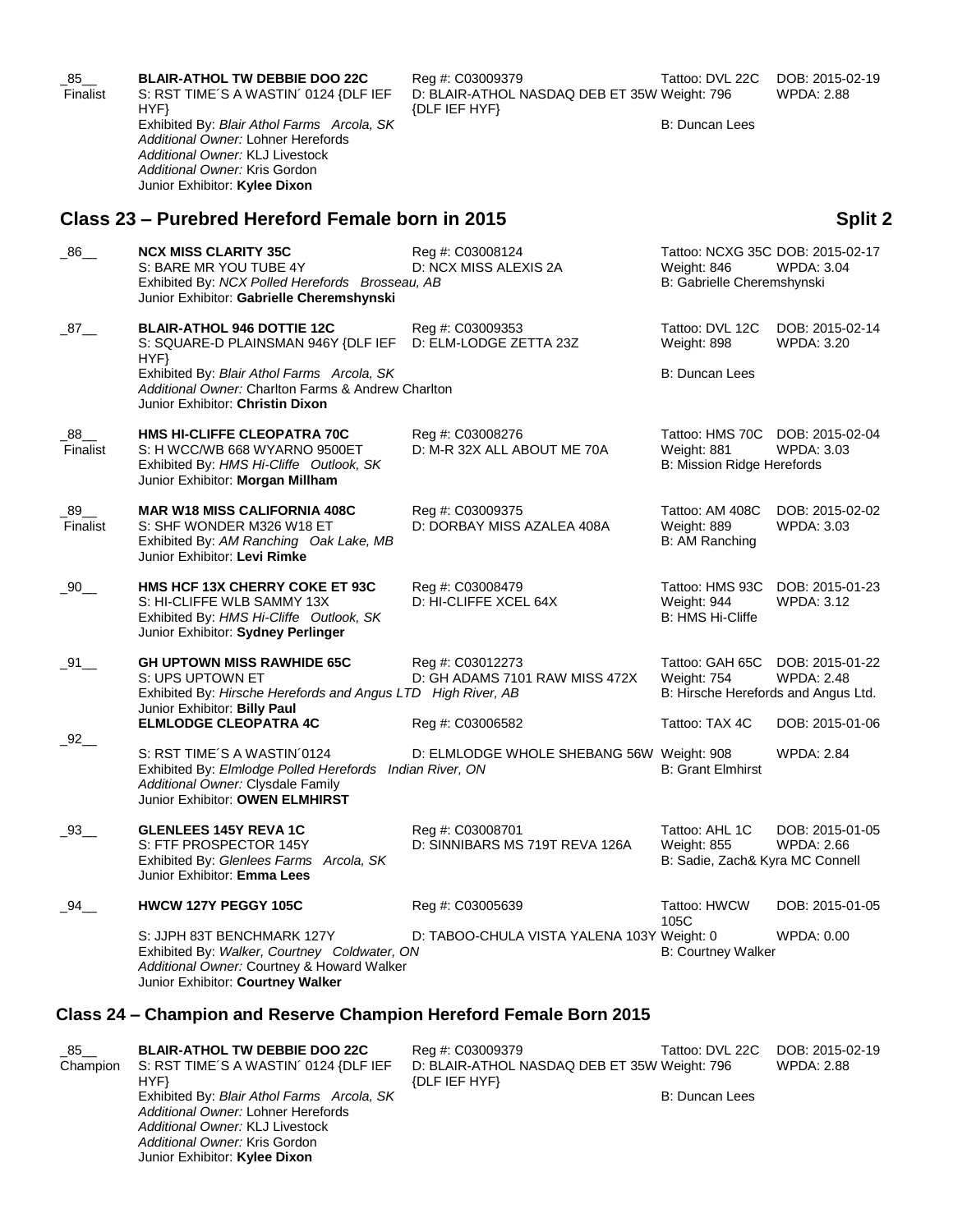| $\_85$ ___<br>Finalist | <b>BLAIR-ATHOL TW DEBBIE DOO 22C</b><br>S: RST TIME'S A WASTIN' 0124 {DLF IEF<br>HYP                                                                                                  | Reg #: C03009379<br>D: BLAIR-ATHOL NASDAQ DEB ET 35W Weight: 796<br>{DLF IEF HYF} | Tattoo: DVL 22C                                                               | DOB: 2015-02-19<br><b>WPDA: 2.88</b> |
|------------------------|---------------------------------------------------------------------------------------------------------------------------------------------------------------------------------------|-----------------------------------------------------------------------------------|-------------------------------------------------------------------------------|--------------------------------------|
|                        | Exhibited By: Blair Athol Farms Arcola, SK<br>Additional Owner: Lohner Herefords<br>Additional Owner: KLJ Livestock<br>Additional Owner: Kris Gordon<br>Junior Exhibitor: Kylee Dixon |                                                                                   | <b>B: Duncan Lees</b>                                                         |                                      |
|                        | Class 23 – Purebred Hereford Female born in 2015                                                                                                                                      |                                                                                   |                                                                               | <b>Split 2</b>                       |
| $-86$                  | <b>NCX MISS CLARITY 35C</b><br>S: BARE MR YOU TUBE 4Y<br>Exhibited By: NCX Polled Herefords Brosseau, AB<br>Junior Exhibitor: Gabrielle Cheremshynski                                 | Reg #: C03008124<br>D: NCX MISS ALEXIS 2A                                         | Tattoo: NCXG 35C DOB: 2015-02-17<br>Weight: 846<br>B: Gabrielle Cheremshynski | WPDA: 3.04                           |
| $-87$ <sub>—</sub>     | <b>BLAIR-ATHOL 946 DOTTIE 12C</b><br>S: SQUARE-D PLAINSMAN 946Y {DLF IEF<br>HYP                                                                                                       | Reg #: C03009353<br>D: ELM-LODGE ZETTA 23Z                                        | Tattoo: DVL 12C<br>Weight: 898                                                | DOB: 2015-02-14<br>WPDA: 3.20        |
|                        | Exhibited By: Blair Athol Farms Arcola, SK<br>Additional Owner: Charlton Farms & Andrew Charlton<br>Junior Exhibitor: Christin Dixon                                                  |                                                                                   | <b>B: Duncan Lees</b>                                                         |                                      |
| $\_88$ __<br>Finalist  | HMS HI-CLIFFE CLEOPATRA 70C<br>S: H WCC/WB 668 WYARNO 9500ET<br>Exhibited By: HMS Hi-Cliffe Outlook, SK<br>Junior Exhibitor: Morgan Millham                                           | Reg #: C03008276<br>D: M-R 32X ALL ABOUT ME 70A                                   | Tattoo: HMS 70C DOB: 2015-02-04<br>Weight: 881<br>B: Mission Ridge Herefords  | <b>WPDA: 3.03</b>                    |
| $\_89$ __<br>Finalist  | <b>MAR W18 MISS CALIFORNIA 408C</b><br>S: SHF WONDER M326 W18 ET<br>Exhibited By: AM Ranching Oak Lake, MB<br>Junior Exhibitor: Levi Rimke                                            | Reg #: C03009375<br>D: DORBAY MISS AZALEA 408A                                    | Tattoo: AM 408C<br>Weight: 889<br>B: AM Ranching                              | DOB: 2015-02-02<br><b>WPDA: 3.03</b> |
| $\_90$ ___             | HMS HCF 13X CHERRY COKE ET 93C<br>S: HI-CLIFFE WLB SAMMY 13X<br>Exhibited By: HMS Hi-Cliffe Outlook, SK<br>Junior Exhibitor: Sydney Perlinger                                         | Reg #: C03008479<br>D: HI-CLIFFE XCEL 64X                                         | Tattoo: HMS 93C<br>Weight: 944<br><b>B: HMS Hi-Cliffe</b>                     | DOB: 2015-01-23<br>WPDA: 3.12        |
| $\_91$ <sub>—</sub>    | <b>GH UPTOWN MISS RAWHIDE 65C</b><br>S: UPS UPTOWN ET<br>Exhibited By: Hirsche Herefords and Angus LTD High River, AB                                                                 | Reg #: C03012273<br>D: GH ADAMS 7101 RAW MISS 472X                                | Tattoo: GAH 65C<br>Weight: 754<br>B: Hirsche Herefords and Angus Ltd.         | DOB: 2015-01-22<br><b>WPDA: 2.48</b> |
|                        | Junior Exhibitor: Billy Paul<br><b>ELMLODGE CLEOPATRA 4C</b>                                                                                                                          | Reg #: C03006582                                                                  | Tattoo: TAX 4C                                                                | DOB: 2015-01-06                      |
| 92                     | S: RST TIME'S A WASTIN'0124<br>Exhibited By: Elmlodge Polled Herefords Indian River, ON<br>Additional Owner: Clysdale Family<br>Junior Exhibitor: OWEN ELMHIRST                       | D: ELMLODGE WHOLE SHEBANG 56W Weight: 908                                         | <b>B: Grant Elmhirst</b>                                                      | <b>WPDA: 2.84</b>                    |
| $-93$ <sub>—</sub>     | <b>GLENLEES 145Y REVA 1C</b><br>S: FTF PROSPECTOR 145Y<br>Exhibited By: Glenlees Farms Arcola, SK<br>Junior Exhibitor: Emma Lees                                                      | Reg #: C03008701<br>D: SINNIBARS MS 719T REVA 126A                                | Tattoo: AHL 1C<br><b>Weight: 855</b><br>B: Sadie, Zach& Kyra MC Connell       | DOB: 2015-01-05<br><b>WPDA: 2.66</b> |
| $-94$ <sub>—</sub>     | <b>HWCW 127Y PEGGY 105C</b>                                                                                                                                                           | Reg #: C03005639                                                                  | Tattoo: HWCW<br>105C                                                          | DOB: 2015-01-05                      |
|                        | S: JJPH 83T BENCHMARK 127Y<br>Exhibited By: Walker, Courtney Coldwater, ON<br>Additional Owner: Courtney & Howard Walker<br>Junior Exhibitor: Courtney Walker                         | D: TABOO-CHULA VISTA YALENA 103Y Weight: 0                                        | <b>B: Courtney Walker</b>                                                     | WPDA: 0.00                           |
|                        | Class 24 – Champion and Reserve Champion Hereford Female Born 2015                                                                                                                    |                                                                                   |                                                                               |                                      |

| $\_85$ ___ | <b>BLAIR-ATHOL TW DEBBIE DOO 22C</b>       | Reg #: C03009379                             | Tattoo: DVL 22C | DOB: 2015-02-19 |
|------------|--------------------------------------------|----------------------------------------------|-----------------|-----------------|
| Champion   | S: RST TIME'S A WASTIN' 0124 {DLF IEF      | D: BLAIR-ATHOL NASDAQ DEB ET 35W Weight: 796 |                 | WPDA: 2.88      |
|            | HYF}                                       | {DLF IEF HYF}                                |                 |                 |
|            | Exhibited By: Blair Athol Farms Arcola, SK |                                              | B: Duncan Lees  |                 |
|            | Additional Owner: Lohner Herefords         |                                              |                 |                 |
|            | Additional Owner: KLJ Livestock            |                                              |                 |                 |
|            | Additional Owner: Kris Gordon              |                                              |                 |                 |

Junior Exhibitor: **Kylee Dixon**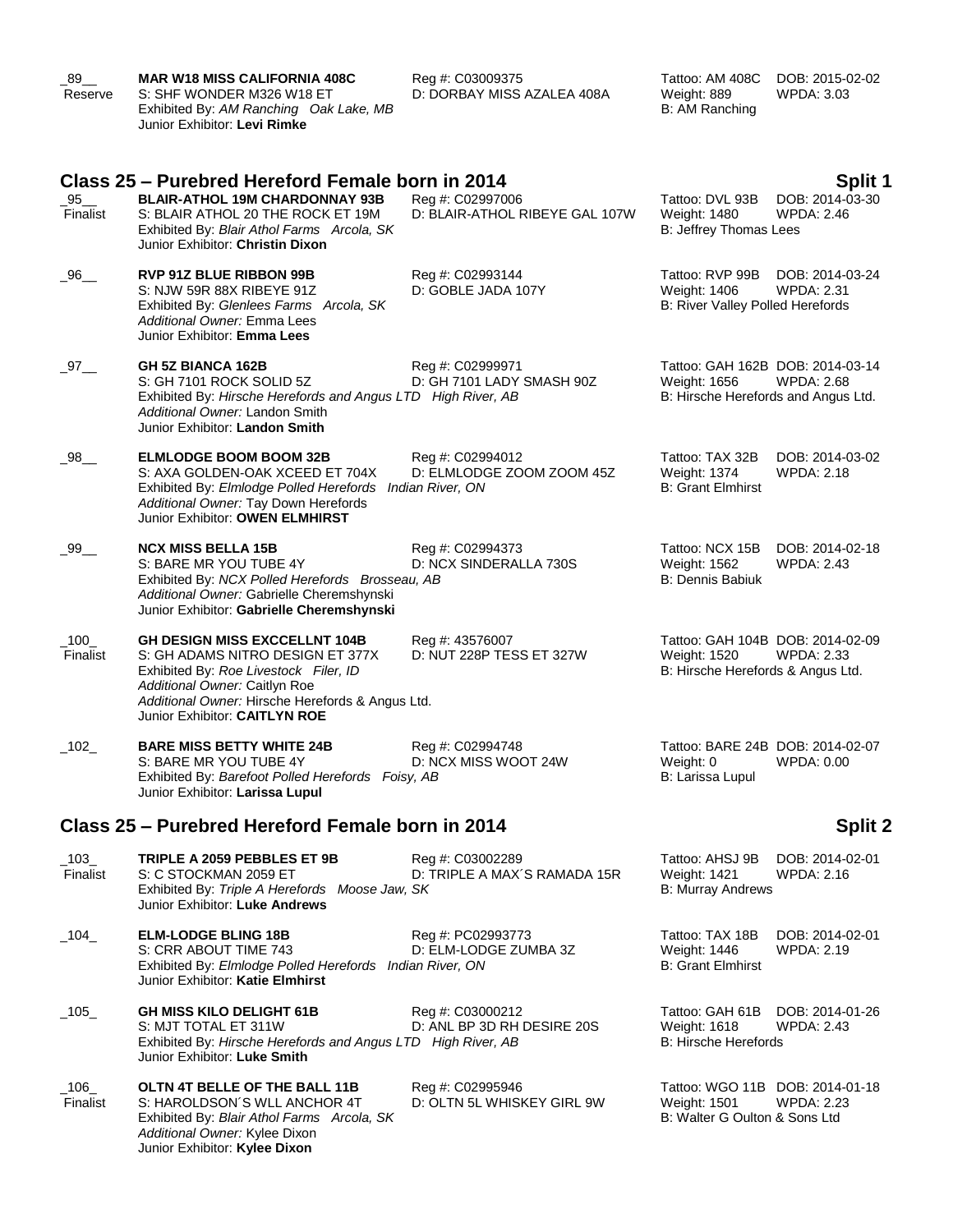| $.89$ <sub>—</sub><br>Reserve | <b>MAR W18 MISS CALIFORNIA 408C</b><br>S: SHF WONDER M326 W18 ET<br>Exhibited By: AM Ranching Oak Lake, MB<br>Junior Exhibitor: <b>Levi Rimke</b>                                                                                       | Reg #: C03009375<br>D: DORBAY MISS AZALEA 408A                    | Tattoo: AM 408C<br>Weight: 889<br>B: AM Ranching                                        | DOB: 2015-02-02<br>WPDA: 3.03                   |
|-------------------------------|-----------------------------------------------------------------------------------------------------------------------------------------------------------------------------------------------------------------------------------------|-------------------------------------------------------------------|-----------------------------------------------------------------------------------------|-------------------------------------------------|
| $\_95$ ___<br>Finalist        | Class 25 – Purebred Hereford Female born in 2014<br><b>BLAIR-ATHOL 19M CHARDONNAY 93B</b><br>S: BLAIR ATHOL 20 THE ROCK ET 19M<br>Exhibited By: Blair Athol Farms Arcola, SK<br>Junior Exhibitor: Christin Dixon                        | Reg #: C02997006<br>D: BLAIR-ATHOL RIBEYE GAL 107W                | Tattoo: DVL 93B<br>Weight: 1480<br>B: Jeffrey Thomas Lees                               | Split 1<br>DOB: 2014-03-30<br><b>WPDA: 2.46</b> |
| _96__                         | <b>RVP 91Z BLUE RIBBON 99B</b><br>S: NJW 59R 88X RIBEYE 91Z<br>Exhibited By: Glenlees Farms Arcola, SK<br>Additional Owner: Emma Lees<br>Junior Exhibitor: Emma Lees                                                                    | Reg #: C02993144<br>D: GOBLE JADA 107Y                            | Tattoo: RVP 99B<br>Weight: 1406<br>B: River Valley Polled Herefords                     | DOB: 2014-03-24<br><b>WPDA: 2.31</b>            |
| $-97$ <sub>—</sub>            | <b>GH 5Z BIANCA 162B</b><br>S: GH 7101 ROCK SOLID 5Z<br>Exhibited By: Hirsche Herefords and Angus LTD High River, AB<br>Additional Owner: Landon Smith<br>Junior Exhibitor: Landon Smith                                                | Reg #: C02999971<br>D: GH 7101 LADY SMASH 90Z                     | Tattoo: GAH 162B DOB: 2014-03-14<br>Weight: 1656<br>B: Hirsche Herefords and Angus Ltd. | <b>WPDA: 2.68</b>                               |
| $\_98$ __                     | <b>ELMLODGE BOOM BOOM 32B</b><br>S: AXA GOLDEN-OAK XCEED ET 704X<br>Exhibited By: Elmlodge Polled Herefords<br>Additional Owner: Tay Down Herefords<br>Junior Exhibitor: OWEN ELMHIRST                                                  | Reg #: C02994012<br>D: ELMLODGE ZOOM ZOOM 45Z<br>Indian River, ON | Tattoo: TAX 32B<br>Weight: 1374<br><b>B: Grant Elmhirst</b>                             | DOB: 2014-03-02<br><b>WPDA: 2.18</b>            |
| $\_99$ __                     | <b>NCX MISS BELLA 15B</b><br>S: BARE MR YOU TUBE 4Y<br>Exhibited By: NCX Polled Herefords Brosseau, AB<br>Additional Owner: Gabrielle Cheremshynski<br>Junior Exhibitor: Gabrielle Cheremshynski                                        | Reg #: C02994373<br>D: NCX SINDERALLA 730S                        | Tattoo: NCX 15B<br>Weight: 1562<br><b>B: Dennis Babiuk</b>                              | DOB: 2014-02-18<br><b>WPDA: 2.43</b>            |
| $\_100$<br>Finalist           | <b>GH DESIGN MISS EXCCELLNT 104B</b><br>S: GH ADAMS NITRO DESIGN ET 377X<br>Exhibited By: Roe Livestock Filer, ID<br>Additional Owner: Caitlyn Roe<br>Additional Owner: Hirsche Herefords & Angus Ltd.<br>Junior Exhibitor: CAITLYN ROE | Reg #: 43576007<br>D: NUT 228P TESS ET 327W                       | Tattoo: GAH 104B DOB: 2014-02-09<br>Weight: 1520<br>B: Hirsche Herefords & Angus Ltd.   | <b>WPDA: 2.33</b>                               |
| $\_102$                       | <b>BARE MISS BETTY WHITE 24B</b><br>S: BARE MR YOU TUBE 4Y<br>Exhibited By: Barefoot Polled Herefords Foisy, AB<br>Junior Exhibitor: Larissa Lupul                                                                                      | Reg #: C02994748<br>D: NCX MISS WOOT 24W                          | Tattoo: BARE 24B DOB: 2014-02-07<br>Weight: 0<br>B: Larissa Lupul                       | WPDA: 0.00                                      |
|                               | Class 25 – Purebred Hereford Female born in 2014                                                                                                                                                                                        |                                                                   |                                                                                         | <b>Split 2</b>                                  |
| $\_103\_$<br>Finalist         | TRIPLE A 2059 PEBBLES ET 9B<br>S: C STOCKMAN 2059 ET<br>Exhibited By: Triple A Herefords Moose Jaw, SK<br>Junior Exhibitor: Luke Andrews                                                                                                | Reg #: C03002289<br>D: TRIPLE A MAX'S RAMADA 15R                  | Tattoo: AHSJ 9B<br>Weight: 1421<br><b>B: Murray Andrews</b>                             | DOB: 2014-02-01<br>WPDA: 2.16                   |
| $\_104$                       | <b>ELM-LODGE BLING 18B</b><br>S: CRR ABOUT TIME 743<br>Exhibited By: Elmlodge Polled Herefords Indian River, ON<br>Junior Exhibitor: Katie Elmhirst                                                                                     | Reg #: PC02993773<br>D: ELM-LODGE ZUMBA 3Z                        | Tattoo: TAX 18B<br>Weight: 1446<br><b>B: Grant Elmhirst</b>                             | DOB: 2014-02-01<br>WPDA: 2.19                   |
| $\_105\_$                     | <b>GH MISS KILO DELIGHT 61B</b><br>S: MJT TOTAL ET 311W<br>Exhibited By: Hirsche Herefords and Angus LTD High River, AB<br>Junior Exhibitor: Luke Smith                                                                                 | Reg #: C03000212<br>D: ANL BP 3D RH DESIRE 20S                    | Tattoo: GAH 61B<br>Weight: 1618<br><b>B: Hirsche Herefords</b>                          | DOB: 2014-01-26<br><b>WPDA: 2.43</b>            |
| $-106$<br>Finalist            | OLTN 4T BELLE OF THE BALL 11B<br>S: HAROLDSON'S WLL ANCHOR 4T<br>Exhibited By: Blair Athol Farms Arcola, SK<br>Additional Owner: Kylee Dixon<br>Junior Exhibitor: Kylee Dixon                                                           | Reg #: C02995946<br>D: OLTN 5L WHISKEY GIRL 9W                    | Tattoo: WGO 11B DOB: 2014-01-18<br>Weight: 1501<br>B: Walter G Oulton & Sons Ltd        | <b>WPDA: 2.23</b>                               |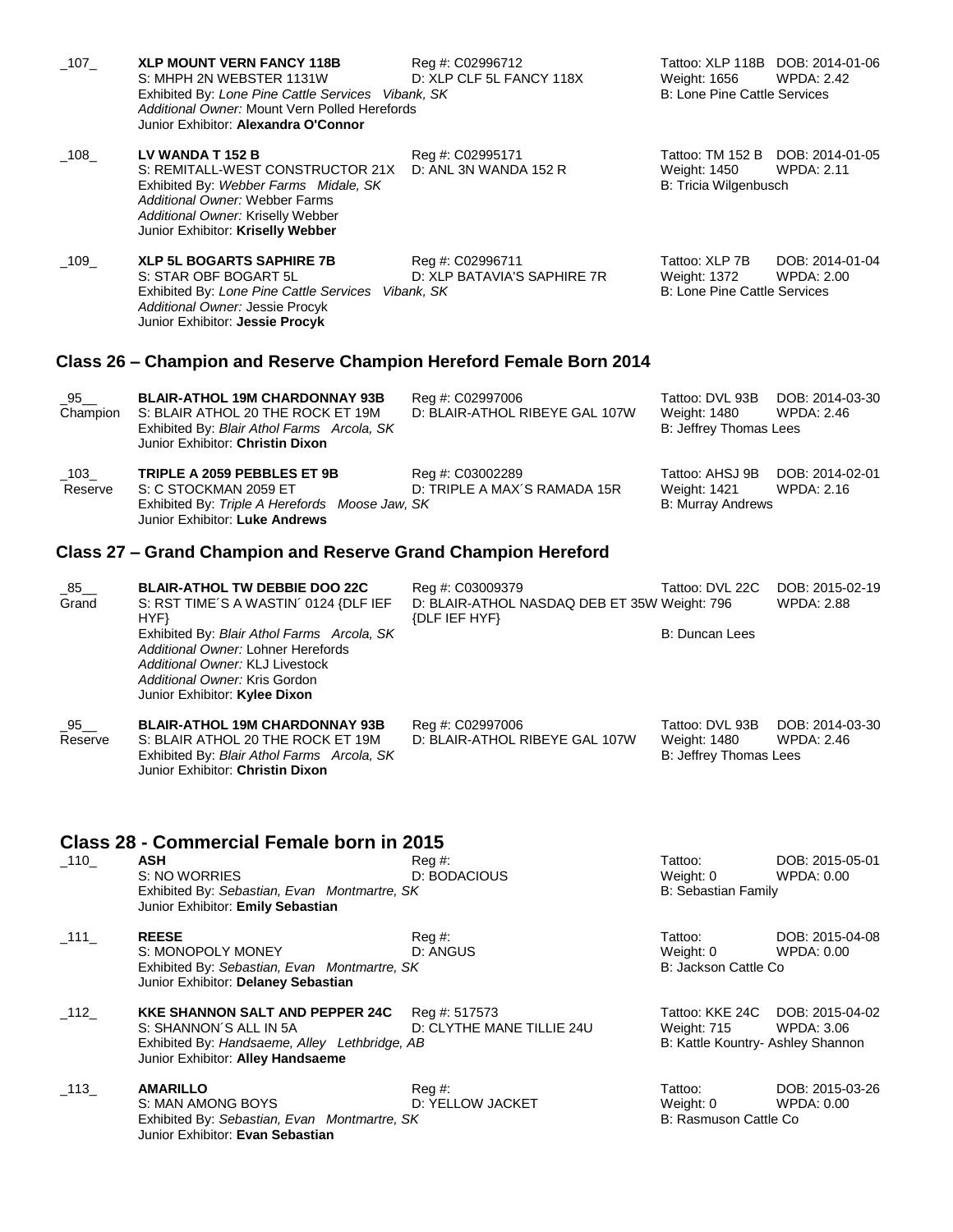| $-107$              | <b>XLP MOUNT VERN FANCY 118B</b><br>S: MHPH 2N WEBSTER 1131W<br>Exhibited By: Lone Pine Cattle Services Vibank, SK<br>Additional Owner: Mount Vern Polled Herefords<br>Junior Exhibitor: Alexandra O'Connor      | Reg #: C02996712<br>D: XLP CLF 5L FANCY 118X                                      | Tattoo: XLP 118B DOB: 2014-01-06<br>Weight: 1656<br><b>B: Lone Pine Cattle Services</b> | <b>WPDA: 2.42</b>                    |
|---------------------|------------------------------------------------------------------------------------------------------------------------------------------------------------------------------------------------------------------|-----------------------------------------------------------------------------------|-----------------------------------------------------------------------------------------|--------------------------------------|
| $-108$              | LV WANDA T 152 B<br>S: REMITALL-WEST CONSTRUCTOR 21X<br>Exhibited By: Webber Farms Midale, SK<br><b>Additional Owner: Webber Farms</b><br>Additional Owner: Kriselly Webber<br>Junior Exhibitor: Kriselly Webber | Reg #: C02995171<br>D: ANL 3N WANDA 152 R                                         | Tattoo: TM 152 B DOB: 2014-01-05<br>Weight: 1450<br>B: Tricia Wilgenbusch               | <b>WPDA: 2.11</b>                    |
| $-109$              | <b>XLP 5L BOGARTS SAPHIRE 7B</b><br>S: STAR OBF BOGART 5L<br>Exhibited By: Lone Pine Cattle Services Vibank, SK<br>Additional Owner: Jessie Procyk<br>Junior Exhibitor: Jessie Procyk                            | Reg #: C02996711<br>D: XLP BATAVIA'S SAPHIRE 7R                                   | Tattoo: XLP 7B<br>Weight: 1372<br>B: Lone Pine Cattle Services                          | DOB: 2014-01-04<br><b>WPDA: 2.00</b> |
|                     | Class 26 - Champion and Reserve Champion Hereford Female Born 2014                                                                                                                                               |                                                                                   |                                                                                         |                                      |
| 95<br>Champion      | <b>BLAIR-ATHOL 19M CHARDONNAY 93B</b><br>S: BLAIR ATHOL 20 THE ROCK ET 19M<br>Exhibited By: Blair Athol Farms Arcola, SK<br>Junior Exhibitor: Christin Dixon                                                     | Reg #: C02997006<br>D: BLAIR-ATHOL RIBEYE GAL 107W                                | Tattoo: DVL 93B<br>Weight: 1480<br>B: Jeffrey Thomas Lees                               | DOB: 2014-03-30<br>WPDA: 2.46        |
| $-103$<br>Reserve   | TRIPLE A 2059 PEBBLES ET 9B<br>S: C STOCKMAN 2059 ET<br>Exhibited By: Triple A Herefords Moose Jaw, SK<br>Junior Exhibitor: Luke Andrews                                                                         | Reg #: C03002289<br>D: TRIPLE A MAX'S RAMADA 15R                                  | Tattoo: AHSJ 9B<br>Weight: 1421<br><b>B: Murray Andrews</b>                             | DOB: 2014-02-01<br>WPDA: 2.16        |
|                     | Class 27 – Grand Champion and Reserve Grand Champion Hereford                                                                                                                                                    |                                                                                   |                                                                                         |                                      |
| $\_85$ ___<br>Grand | <b>BLAIR-ATHOL TW DEBBIE DOO 22C</b><br>S: RST TIME'S A WASTIN' 0124 {DLF IEF<br>HYP                                                                                                                             | Reg #: C03009379<br>D: BLAIR-ATHOL NASDAQ DEB ET 35W Weight: 796<br>{DLF IEF HYF} | Tattoo: DVL 22C                                                                         | DOB: 2015-02-19<br><b>WPDA: 2.88</b> |
|                     | Exhibited By: Blair Athol Farms Arcola, SK<br>Additional Owner: Lohner Herefords<br>Additional Owner: KLJ Livestock<br>Additional Owner: Kris Gordon<br>Junior Exhibitor: Kylee Dixon                            |                                                                                   | <b>B: Duncan Lees</b>                                                                   |                                      |
| 95<br>Reserve       | <b>BLAIR-ATHOL 19M CHARDONNAY 93B</b><br>S: BLAIR ATHOL 20 THE ROCK ET 19M<br>Exhibited By: Blair Athol Farms Arcola, SK<br>Junior Exhibitor: Christin Dixon                                                     | Reg #: C02997006<br>D: BLAIR-ATHOL RIBEYE GAL 107W                                | Tattoo: DVL 93B<br>Weight: 1480<br>B: Jeffrey Thomas Lees                               | DOB: 2014-03-30<br>WPDA: 2.46        |
|                     | Class 28 - Commercial Female born in 2015                                                                                                                                                                        |                                                                                   |                                                                                         |                                      |
| $\_110$             | <b>ASH</b><br>S: NO WORRIES<br>Exhibited By: Sebastian, Evan Montmartre, SK<br>Junior Exhibitor: Emily Sebastian                                                                                                 | Rea #:<br>D: BODACIOUS                                                            | Tattoo:<br>Weight: 0<br><b>B: Sebastian Family</b>                                      | DOB: 2015-05-01<br><b>WPDA: 0.00</b> |
| $\_111\_$           | <b>REESE</b><br>S: MONOPOLY MONEY<br>Exhibited By: Sebastian, Evan Montmartre, SK<br>Junior Exhibitor: Delaney Sebastian                                                                                         | $Reg#$ :<br>D: ANGUS                                                              | Tattoo:<br>Weight: 0<br>B: Jackson Cattle Co                                            | DOB: 2015-04-08<br>WPDA: 0.00        |
| $\_112$             | <b>KKE SHANNON SALT AND PEPPER 24C</b><br>S: SHANNON'S ALL IN 5A<br>Exhibited By: Handsaeme, Alley Lethbridge, AB<br>Junior Exhibitor: Alley Handsaeme                                                           | Reg #: 517573<br>D: CLYTHE MANE TILLIE 24U                                        | Tattoo: KKE 24C<br>Weight: 715<br>B: Kattle Kountry- Ashley Shannon                     | DOB: 2015-04-02<br><b>WPDA: 3.06</b> |
| $\_113\_$           | <b>AMARILLO</b><br>S: MAN AMONG BOYS<br>Exhibited By: Sebastian, Evan Montmartre, SK<br>Junior Exhibitor: Evan Sebastian                                                                                         | $Reg \#$<br>D: YELLOW JACKET                                                      | Tattoo:<br>Weight: 0<br>B: Rasmuson Cattle Co                                           | DOB: 2015-03-26<br>WPDA: 0.00        |
|                     |                                                                                                                                                                                                                  |                                                                                   |                                                                                         |                                      |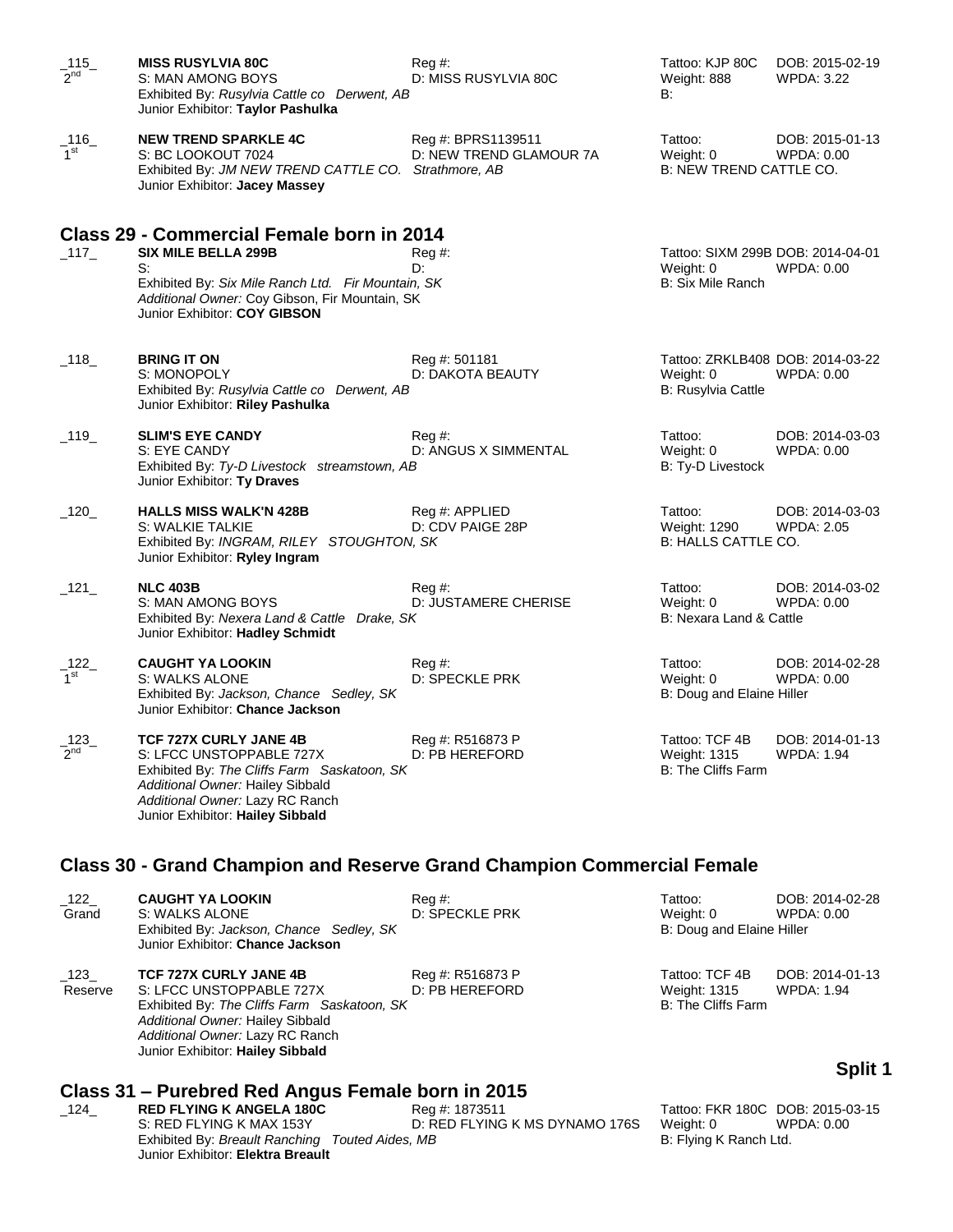| $\frac{115}{2^{nd}}$             | <b>MISS RUSYLVIA 80C</b><br>S: MAN AMONG BOYS<br>Exhibited By: Rusylvia Cattle co Derwent, AB<br>Junior Exhibitor: Taylor Pashulka                                                                                  | $Reg \#$<br>D: MISS RUSYLVIA 80C              | Tattoo: KJP 80C<br>Weight: 888<br>B:                                | DOB: 2015-02-19<br><b>WPDA: 3.22</b> |
|----------------------------------|---------------------------------------------------------------------------------------------------------------------------------------------------------------------------------------------------------------------|-----------------------------------------------|---------------------------------------------------------------------|--------------------------------------|
| _116_<br>1 <sup>st</sup>         | <b>NEW TREND SPARKLE 4C</b><br>S: BC LOOKOUT 7024<br>Exhibited By: JM NEW TREND CATTLE CO. Strathmore, AB<br>Junior Exhibitor: Jacey Massey                                                                         | Reg #: BPRS1139511<br>D: NEW TREND GLAMOUR 7A | Tattoo:<br>Weight: 0<br>B: NEW TREND CATTLE CO.                     | DOB: 2015-01-13<br>WPDA: 0.00        |
|                                  | Class 29 - Commercial Female born in 2014                                                                                                                                                                           |                                               |                                                                     |                                      |
| $\_117$                          | <b>SIX MILE BELLA 299B</b><br>S:<br>Exhibited By: Six Mile Ranch Ltd. Fir Mountain, SK<br>Additional Owner: Coy Gibson, Fir Mountain, SK<br>Junior Exhibitor: COY GIBSON                                            | $Reg \#$<br>D:                                | Tattoo: SIXM 299B DOB: 2014-04-01<br>Weight: 0<br>B: Six Mile Ranch | <b>WPDA: 0.00</b>                    |
| $\_118$                          | <b>BRING IT ON</b><br>S: MONOPOLY<br>Exhibited By: Rusylvia Cattle co Derwent, AB<br>Junior Exhibitor: Riley Pashulka                                                                                               | Reg #: 501181<br>D: DAKOTA BEAUTY             | Tattoo: ZRKLB408 DOB: 2014-03-22<br>Weight: 0<br>B: Rusylvia Cattle | WPDA: 0.00                           |
| $\_$ 119 $\_$                    | <b>SLIM'S EYE CANDY</b><br>S: EYE CANDY<br>Exhibited By: Ty-D Livestock streamstown, AB<br>Junior Exhibitor: Ty Draves                                                                                              | $Reg \#$<br>D: ANGUS X SIMMENTAL              | Tattoo:<br>Weight: 0<br>B: Ty-D Livestock                           | DOB: 2014-03-03<br>WPDA: 0.00        |
| $-120$                           | <b>HALLS MISS WALK'N 428B</b><br>S: WALKIE TALKIE<br>Exhibited By: INGRAM, RILEY STOUGHTON, SK<br>Junior Exhibitor: Ryley Ingram                                                                                    | Reg #: APPLIED<br>D: CDV PAIGE 28P            | Tattoo:<br>Weight: 1290<br>B: HALLS CATTLE CO.                      | DOB: 2014-03-03<br><b>WPDA: 2.05</b> |
| $\_121$                          | <b>NLC 403B</b><br>S: MAN AMONG BOYS<br>Exhibited By: Nexera Land & Cattle Drake, SK<br>Junior Exhibitor: Hadley Schmidt                                                                                            | $Req \#$ :<br>D: JUSTAMERE CHERISE            | Tattoo:<br>Weight: 0<br>B: Nexara Land & Cattle                     | DOB: 2014-03-02<br>WPDA: 0.00        |
| $\_$ 122 $\_$<br>1 <sup>st</sup> | <b>CAUGHT YA LOOKIN</b><br>S: WALKS ALONE<br>Exhibited By: Jackson, Chance Sedley, SK<br>Junior Exhibitor: Chance Jackson                                                                                           | $\text{Re}q \#$ :<br>D: SPECKLE PRK           | Tattoo:<br>Weight: 0<br>B: Doug and Elaine Hiller                   | DOB: 2014-02-28<br>WPDA: 0.00        |
| $-123$                           | <b>TCF 727X CURLY JANE 4B</b><br>S: LFCC UNSTOPPABLE 727X<br>Exhibited By: The Cliffs Farm Saskatoon, SK<br>Additional Owner: Hailey Sibbald<br>Additional Owner: Lazy RC Ranch<br>Junior Exhibitor: Hailey Sibbald | Reg #: R516873 P<br>D: PB HEREFORD            | Tattoo: TCF 4B<br>Weight: 1315<br><b>B: The Cliffs Farm</b>         | DOB: 2014-01-13<br>WPDA: 1.94        |
|                                  | <b>Class 30 - Grand Champion and Reserve Grand Champion Commercial Female</b>                                                                                                                                       |                                               |                                                                     |                                      |

\_122\_ **CAUGHT YA LOOKIN** Reg #: Tattoo: DOB: 2014-02-28 D: SPECKLE PRK Exhibited By: Jackson, Chance Sedley, SK B: Doug and Elaine Hiller Junior Exhibitor: **Chance Jackson** \_123\_ **TCF 727X CURLY JANE 4B** Reg #: R516873 P Tattoo: TCF 4B DOB: 2014-01-13 Reserve S: LFCC UNSTOPPABLE 727X D: PB HEREFORD Weight: 1315 WPDA: 1.94 Exhibited By: The Cliffs Farm Saskatoon, SK B: The Cliffs Farm B: The Cliffs Farm *Additional Owner:* Hailey Sibbald

# **Class 31 – Purebred Red Angus Female born in 2015**

*Additional Owner:* Lazy RC Ranch Junior Exhibitor: **Hailey Sibbald**

Reg #: 1873511 Tattoo: FKR 180C DOB: 2015-03-15 S: RED FLYING K MAX 153Y D: RED FLYING K MS DYNAMO 176S Weight: 0 WPDA: 0.00 Exhibited By: *Breault Ranching Touted Aides, MB* B: Flying K Ranch Ltd. Junior Exhibitor: **Elektra Breault**

# **Split 1**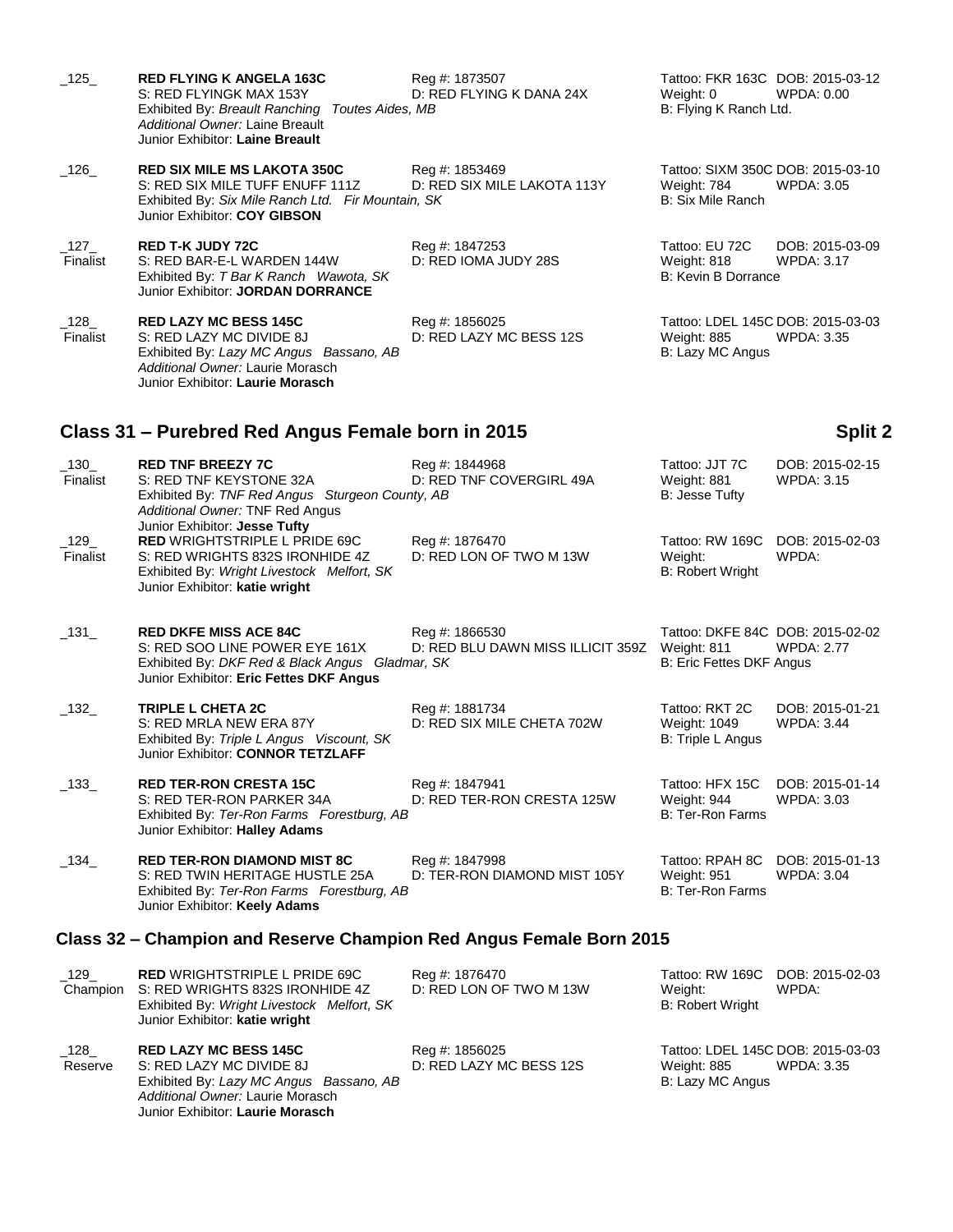| $\_125\_$             | <b>RED FLYING K ANGELA 163C</b><br>S: RED FLYINGK MAX 153Y<br>Exhibited By: Breault Ranching Toutes Aides, MB<br>Additional Owner: Laine Breault<br>Junior Exhibitor: Laine Breault      | Reg #: 1873507<br>D: RED FLYING K DANA 24X                      | Tattoo: FKR 163C DOB: 2015-03-12<br>Weight: 0<br>B: Flying K Ranch Ltd.      | WPDA: 0.00                           |
|-----------------------|------------------------------------------------------------------------------------------------------------------------------------------------------------------------------------------|-----------------------------------------------------------------|------------------------------------------------------------------------------|--------------------------------------|
| $\_126$               | <b>RED SIX MILE MS LAKOTA 350C</b><br>S: RED SIX MILE TUFF ENUFF 111Z<br>Exhibited By: Six Mile Ranch Ltd. Fir Mountain, SK<br>Junior Exhibitor: COY GIBSON                              | Reg #: 1853469<br>D: RED SIX MILE LAKOTA 113Y                   | Tattoo: SIXM 350C DOB: 2015-03-10<br>Weight: 784<br><b>B: Six Mile Ranch</b> | <b>WPDA: 3.05</b>                    |
| $\_127\_$<br>Finalist | <b>RED T-K JUDY 72C</b><br>S: RED BAR-E-L WARDEN 144W<br>Exhibited By: T Bar K Ranch Wawota, SK<br>Junior Exhibitor: JORDAN DORRANCE                                                     | Reg #: 1847253<br>D: RED IOMA JUDY 28S                          | Tattoo: EU 72C<br>Weight: 818<br>B: Kevin B Dorrance                         | DOB: 2015-03-09<br>WPDA: 3.17        |
| $\_128$<br>Finalist   | <b>RED LAZY MC BESS 145C</b><br>S: RED LAZY MC DIVIDE 8J<br>Exhibited By: Lazy MC Angus Bassano, AB<br>Additional Owner: Laurie Morasch<br>Junior Exhibitor: Laurie Morasch              | Reg #: 1856025<br>D: RED LAZY MC BESS 12S                       | Tattoo: LDEL 145C DOB: 2015-03-03<br>Weight: 885<br>B: Lazy MC Angus         | WPDA: 3.35                           |
|                       | Class 31 - Purebred Red Angus Female born in 2015                                                                                                                                        |                                                                 |                                                                              | Split 2                              |
| $\_130$<br>Finalist   | <b>RED TNF BREEZY 7C</b><br>S: RED TNF KEYSTONE 32A<br>Exhibited By: TNF Red Angus Sturgeon County, AB<br>Additional Owner: TNF Red Angus                                                | Reg #: 1844968<br>D: RED TNF COVERGIRL 49A                      | Tattoo: JJT 7C<br>Weight: 881<br>B: Jesse Tufty                              | DOB: 2015-02-15<br><b>WPDA: 3.15</b> |
| $\_129$<br>Finalist   | Junior Exhibitor: Jesse Tufty<br><b>RED WRIGHTSTRIPLE L PRIDE 69C</b><br>S: RED WRIGHTS 832S IRONHIDE 4Z<br>Exhibited By: Wright Livestock Melfort, SK<br>Junior Exhibitor: katie wright | Reg #: 1876470<br>D: RED LON OF TWO M 13W                       | Tattoo: RW 169C DOB: 2015-02-03<br>Weight:<br><b>B: Robert Wright</b>        | WPDA:                                |
| $\_131\_$             | <b>RED DKFE MISS ACE 84C</b><br>S: RED SOO LINE POWER EYE 161X<br>Exhibited By: DKF Red & Black Angus Gladmar, SK<br>Junior Exhibitor: Eric Fettes DKF Angus                             | Reg #: 1866530<br>D: RED BLU DAWN MISS ILLICIT 359Z Weight: 811 | Tattoo: DKFE 84C DOB: 2015-02-02<br><b>B: Eric Fettes DKF Angus</b>          | <b>WPDA: 2.77</b>                    |
| $-132$                | TRIPLE L CHETA 2C<br>S: RED MRLA NEW ERA 87Y<br>Exhibited By: Triple L Angus Viscount, SK<br>Junior Exhibitor: CONNOR TETZLAFF                                                           | Reg #: 1881734<br>D: RED SIX MILE CHETA 702W                    | Tattoo: RKT 2C<br>Weight: 1049<br>B: Triple L Angus                          | DOB: 2015-01-21<br><b>WPDA: 3.44</b> |
| $\_133\_$             | <b>RED TER-RON CRESTA 15C</b><br>S: RED TER-RON PARKER 34A<br>Exhibited By: Ter-Ron Farms Forestburg, AB<br>Junior Exhibitor: Halley Adams                                               | Reg #: 1847941<br>D: RED TER-RON CRESTA 125W                    | Tattoo: HFX 15C<br>Weight: 944<br><b>B: Ter-Ron Farms</b>                    | DOB: 2015-01-14<br><b>WPDA: 3.03</b> |
| $\_134$               | <b>RED TER-RON DIAMOND MIST 8C</b><br>S: RED TWIN HERITAGE HUSTLE 25A<br>Exhibited By: Ter-Ron Farms Forestburg, AB<br>Junior Exhibitor: Keely Adams                                     | Reg #: 1847998<br>D: TER-RON DIAMOND MIST 105Y                  | Tattoo: RPAH 8C<br>Weight: 951<br><b>B: Ter-Ron Farms</b>                    | DOB: 2015-01-13<br><b>WPDA: 3.04</b> |
|                       | Class 32 – Champion and Reserve Champion Red Angus Female Born 2015                                                                                                                      |                                                                 |                                                                              |                                      |
| $\_129$<br>Champion   | <b>RED WRIGHTSTRIPLE L PRIDE 69C</b><br>S: RED WRIGHTS 832S IRONHIDE 4Z<br>Exhibited By: Wright Livestock Melfort, SK<br>Junior Exhibitor: katie wright                                  | Reg #: 1876470<br>D: RED LON OF TWO M 13W                       | Tattoo: RW 169C<br>Weight:<br><b>B: Robert Wright</b>                        | DOB: 2015-02-03<br>WPDA:             |
| $\_128$<br>Reserve    | <b>RED LAZY MC BESS 145C</b><br>S: RED LAZY MC DIVIDE 8J<br>Exhibited By: Lazy MC Angus Bassano, AB                                                                                      | Reg #: 1856025<br>D: RED LAZY MC BESS 12S                       | Tattoo: LDEL 145C DOB: 2015-03-03<br>Weight: 885<br>B: Lazy MC Angus         | <b>WPDA: 3.35</b>                    |

*Additional Owner:* Laurie Morasch Junior Exhibitor: **Laurie Morasch**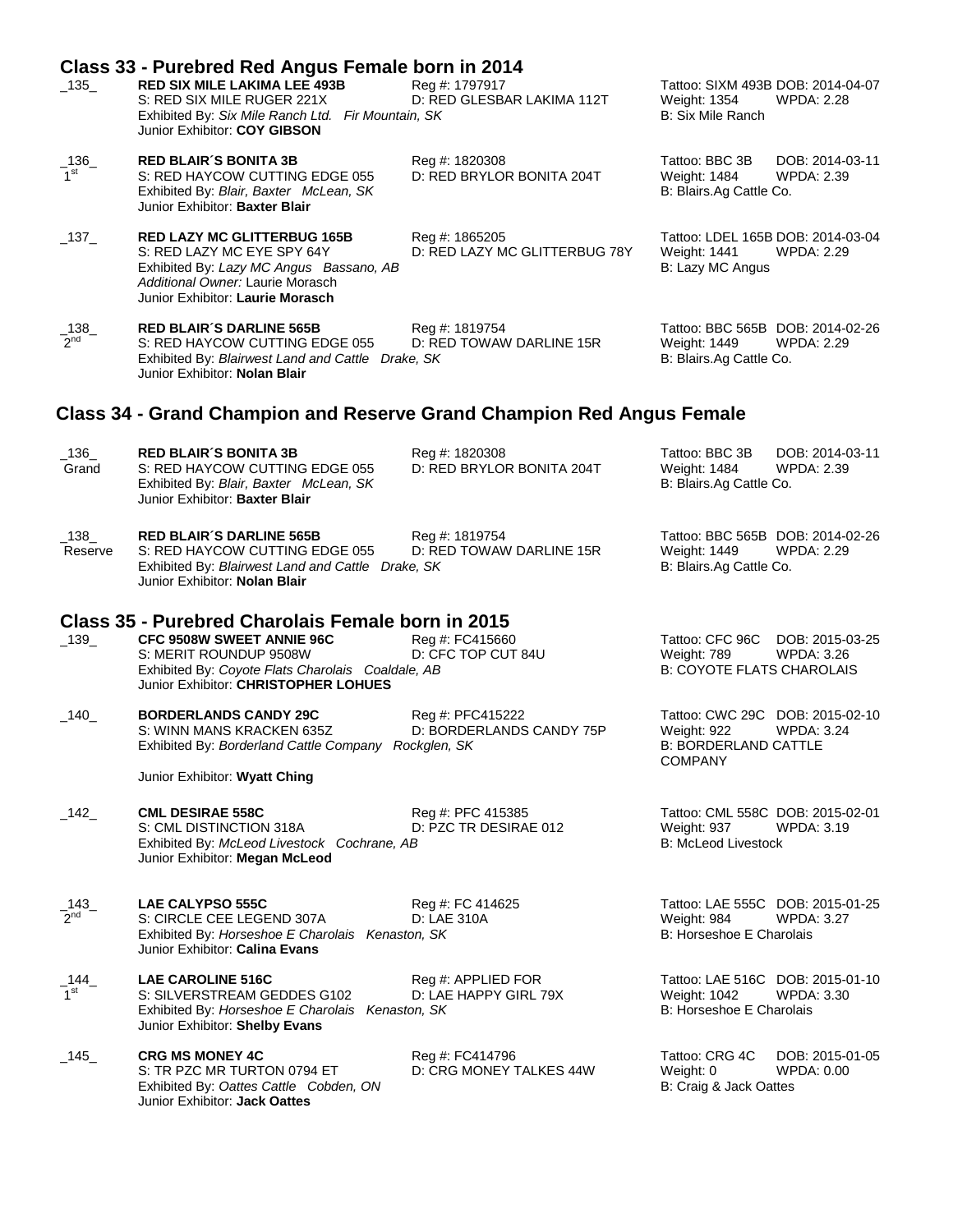|                          | Class 33 - Purebred Red Angus Female born in 2014                                                                                                                                                            |                                                 |                                                                                                               |
|--------------------------|--------------------------------------------------------------------------------------------------------------------------------------------------------------------------------------------------------------|-------------------------------------------------|---------------------------------------------------------------------------------------------------------------|
| $-135$                   | <b>RED SIX MILE LAKIMA LEE 493B</b><br>S: RED SIX MILE RUGER 221X<br>Exhibited By: Six Mile Ranch Ltd. Fir Mountain, SK<br>Junior Exhibitor: COY GIBSON                                                      | Reg #: 1797917<br>D: RED GLESBAR LAKIMA 112T    | Tattoo: SIXM 493B DOB: 2014-04-07<br>Weight: 1354<br><b>WPDA: 2.28</b><br>B: Six Mile Ranch                   |
| _136_<br>1 <sup>st</sup> | <b>RED BLAIR'S BONITA 3B</b><br>S: RED HAYCOW CUTTING EDGE 055<br>Exhibited By: Blair, Baxter McLean, SK<br>Junior Exhibitor: Baxter Blair                                                                   | Reg #: 1820308<br>D: RED BRYLOR BONITA 204T     | Tattoo: BBC 3B<br>DOB: 2014-03-11<br>Weight: 1484<br>WPDA: 2.39<br>B: Blairs.Ag Cattle Co.                    |
| $\_137\_$                | <b>RED LAZY MC GLITTERBUG 165B</b><br>S: RED LAZY MC EYE SPY 64Y<br>Exhibited By: Lazy MC Angus Bassano, AB<br>Additional Owner: Laurie Morasch<br>Junior Exhibitor: Laurie Morasch                          | Reg #: 1865205<br>D: RED LAZY MC GLITTERBUG 78Y | Tattoo: LDEL 165B DOB: 2014-03-04<br>Weight: 1441<br><b>WPDA: 2.29</b><br>B: Lazy MC Angus                    |
| $\frac{138}{2^{nd}}$     | <b>RED BLAIR'S DARLINE 565B</b><br>S: RED HAYCOW CUTTING EDGE 055<br>Exhibited By: Blairwest Land and Cattle Drake, SK<br>Junior Exhibitor: Nolan Blair                                                      | Reg #: 1819754<br>D: RED TOWAW DARLINE 15R      | Tattoo: BBC 565B DOB: 2014-02-26<br>Weight: 1449<br>WPDA: 2.29<br>B: Blairs.Ag Cattle Co.                     |
|                          | Class 34 - Grand Champion and Reserve Grand Champion Red Angus Female                                                                                                                                        |                                                 |                                                                                                               |
| $-136$<br>Grand          | <b>RED BLAIR'S BONITA 3B</b><br>S: RED HAYCOW CUTTING EDGE 055<br>Exhibited By: Blair, Baxter McLean, SK<br>Junior Exhibitor: Baxter Blair                                                                   | Reg #: 1820308<br>D: RED BRYLOR BONITA 204T     | Tattoo: BBC 3B<br>DOB: 2014-03-11<br>Weight: 1484<br>WPDA: 2.39<br>B: Blairs.Ag Cattle Co.                    |
| $-138$<br>Reserve        | <b>RED BLAIR'S DARLINE 565B</b><br>S: RED HAYCOW CUTTING EDGE 055<br>Exhibited By: Blairwest Land and Cattle Drake, SK<br>Junior Exhibitor: Nolan Blair                                                      | Reg #: 1819754<br>D: RED TOWAW DARLINE 15R      | Tattoo: BBC 565B DOB: 2014-02-26<br>Weight: 1449<br><b>WPDA: 2.29</b><br>B: Blairs.Ag Cattle Co.              |
| $\_139$                  | Class 35 - Purebred Charolais Female born in 2015<br><b>CFC 9508W SWEET ANNIE 96C</b><br>S: MERIT ROUNDUP 9508W<br>Exhibited By: Coyote Flats Charolais Coaldale, AB<br>Junior Exhibitor: CHRISTOPHER LOHUES | Reg #: FC415660<br>D: CFC TOP CUT 84U           | Tattoo: CFC 96C<br>DOB: 2015-03-25<br>Weight: 789<br>WPDA: 3.26<br><b>B: COYOTE FLATS CHAROLAIS</b>           |
| $-140$                   | <b>BORDERLANDS CANDY 29C</b><br>S: WINN MANS KRACKEN 635Z<br>Exhibited By: Borderland Cattle Company Rockglen, SK                                                                                            | Reg #: PFC415222<br>D: BORDERLANDS CANDY 75P    | Tattoo: CWC 29C DOB: 2015-02-10<br>Weight: 922<br><b>WPDA: 3.24</b><br>B: BORDERLAND CATTLE<br><b>COMPANY</b> |
|                          | Junior Exhibitor: Wyatt Ching                                                                                                                                                                                |                                                 |                                                                                                               |
| $-142$                   | <b>CML DESIRAE 558C</b><br>S: CML DISTINCTION 318A<br>Exhibited By: McLeod Livestock Cochrane, AB<br>Junior Exhibitor: Megan McLeod                                                                          | Reg #: PFC 415385<br>D: PZC TR DESIRAE 012      | Tattoo: CML 558C DOB: 2015-02-01<br>Weight: 937<br>WPDA: 3.19<br><b>B: McLeod Livestock</b>                   |
| $-143$<br>$2^{nd}$       | <b>LAE CALYPSO 555C</b><br>S: CIRCLE CEE LEGEND 307A<br>Exhibited By: Horseshoe E Charolais Kenaston, SK<br>Junior Exhibitor: Calina Evans                                                                   | Reg #: FC 414625<br>D: LAE 310A                 | Tattoo: LAE 555C DOB: 2015-01-25<br>Weight: 984<br><b>WPDA: 3.27</b><br>B: Horseshoe E Charolais              |
| _144_<br>1 <sup>st</sup> | <b>LAE CAROLINE 516C</b><br>S: SILVERSTREAM GEDDES G102<br>Exhibited By: Horseshoe E Charolais Kenaston, SK<br>Junior Exhibitor: Shelby Evans                                                                | Reg #: APPLIED FOR<br>D: LAE HAPPY GIRL 79X     | Tattoo: LAE 516C DOB: 2015-01-10<br><b>WPDA: 3.30</b><br>Weight: 1042<br>B: Horseshoe E Charolais             |
| _145_                    | <b>CRG MS MONEY 4C</b><br>S: TR PZC MR TURTON 0794 ET<br>Exhibited By: Oattes Cattle Cobden, ON<br>Junior Exhibitor: Jack Oattes                                                                             | Reg #: FC414796<br>D: CRG MONEY TALKES 44W      | Tattoo: CRG 4C<br>DOB: 2015-01-05<br>Weight: 0<br>WPDA: 0.00<br>B: Craig & Jack Oattes                        |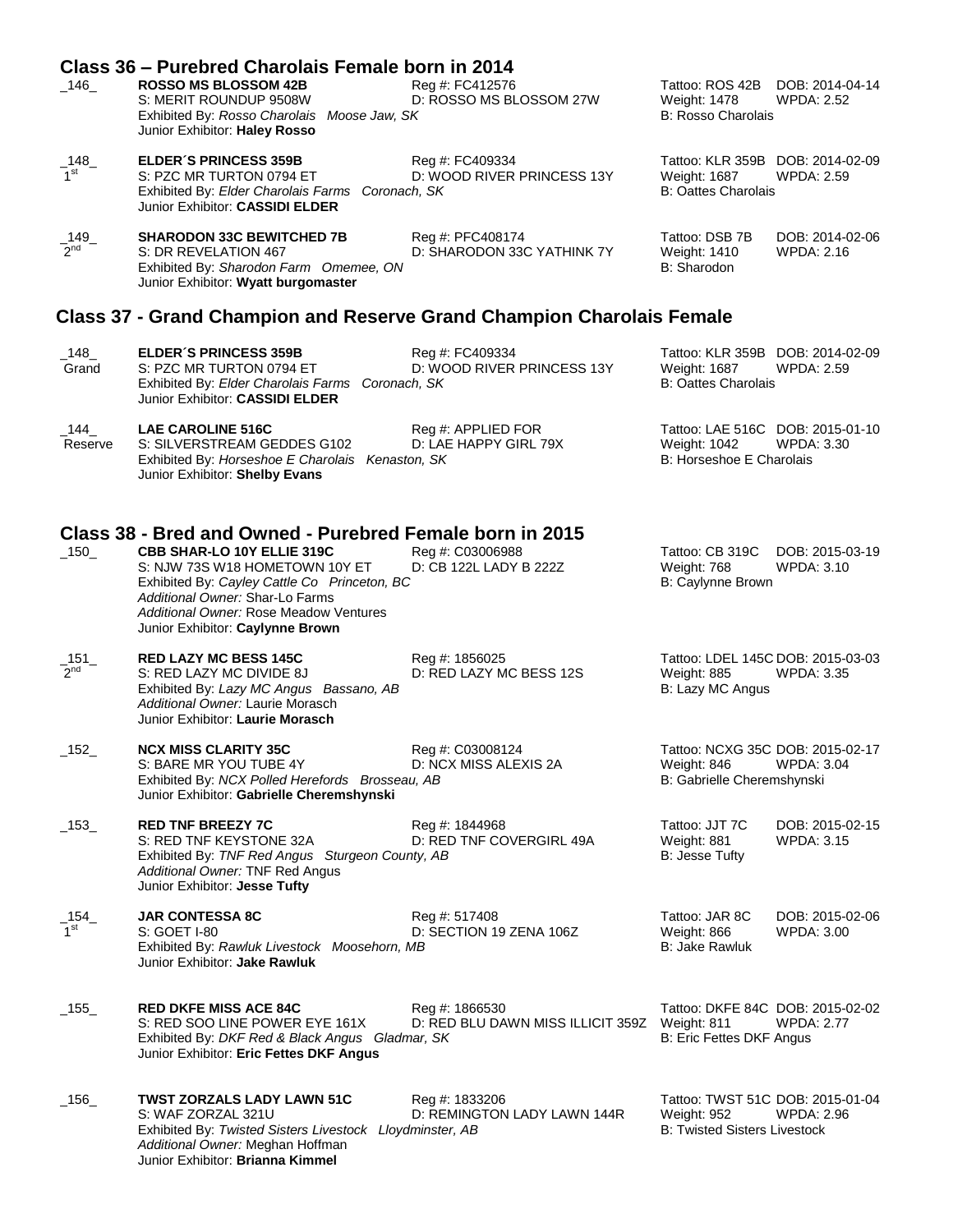|                            | Class 36 – Purebred Charolais Female born in 2014                                                                                                                                                                                                                                         |                                                     |                                                                                        |                                      |
|----------------------------|-------------------------------------------------------------------------------------------------------------------------------------------------------------------------------------------------------------------------------------------------------------------------------------------|-----------------------------------------------------|----------------------------------------------------------------------------------------|--------------------------------------|
| $\_146\_$                  | <b>ROSSO MS BLOSSOM 42B</b><br>S: MERIT ROUNDUP 9508W<br>Exhibited By: Rosso Charolais Moose Jaw, SK<br>Junior Exhibitor: Haley Rosso                                                                                                                                                     | Reg #: FC412576<br>D: ROSSO MS BLOSSOM 27W          | Tattoo: ROS 42B DOB: 2014-04-14<br><b>Weight: 1478</b><br><b>B: Rosso Charolais</b>    | <b>WPDA: 2.52</b>                    |
| $\_148$<br>1 <sup>st</sup> | <b>ELDER'S PRINCESS 359B</b><br>S: PZC MR TURTON 0794 ET<br>Exhibited By: Elder Charolais Farms Coronach, SK<br>Junior Exhibitor: CASSIDI ELDER                                                                                                                                           | Reg #: FC409334<br>D: WOOD RIVER PRINCESS 13Y       | Tattoo: KLR 359B DOB: 2014-02-09<br>Weight: 1687<br><b>B: Oattes Charolais</b>         | <b>WPDA: 2.59</b>                    |
| $\_149$<br>2 <sup>nd</sup> | <b>SHARODON 33C BEWITCHED 7B</b><br>S: DR REVELATION 467<br>Exhibited By: Sharodon Farm Omemee, ON<br>Junior Exhibitor: Wyatt burgomaster                                                                                                                                                 | Reg #: PFC408174<br>D: SHARODON 33C YATHINK 7Y      | Tattoo: DSB 7B<br>Weight: 1410<br>B: Sharodon                                          | DOB: 2014-02-06<br>WPDA: 2.16        |
|                            | Class 37 - Grand Champion and Reserve Grand Champion Charolais Female                                                                                                                                                                                                                     |                                                     |                                                                                        |                                      |
| $\_148\_$<br>Grand         | <b>ELDER'S PRINCESS 359B</b><br>S: PZC MR TURTON 0794 ET<br>Exhibited By: Elder Charolais Farms Coronach, SK<br>Junior Exhibitor: CASSIDI ELDER                                                                                                                                           | Reg #: FC409334<br>D: WOOD RIVER PRINCESS 13Y       | Tattoo: KLR 359B DOB: 2014-02-09<br>Weight: 1687<br><b>B: Oattes Charolais</b>         | WPDA: 2.59                           |
| $\_144$<br>Reserve         | <b>LAE CAROLINE 516C</b><br>S: SILVERSTREAM GEDDES G102<br>Exhibited By: Horseshoe E Charolais Kenaston, SK<br>Junior Exhibitor: Shelby Evans                                                                                                                                             | Reg #: APPLIED FOR<br>D: LAE HAPPY GIRL 79X         | Tattoo: LAE 516C DOB: 2015-01-10<br>Weight: 1042<br>B: Horseshoe E Charolais           | <b>WPDA: 3.30</b>                    |
| $\_150$                    | Class 38 - Bred and Owned - Purebred Female born in 2015<br>CBB SHAR-LO 10Y ELLIE 319C<br>S: NJW 73S W18 HOMETOWN 10Y ET<br>Exhibited By: Cayley Cattle Co Princeton, BC<br>Additional Owner: Shar-Lo Farms<br>Additional Owner: Rose Meadow Ventures<br>Junior Exhibitor: Caylynne Brown | Reg #: C03006988<br>D: CB 122L LADY B 222Z          | Tattoo: CB 319C<br>Weight: 768<br>B: Caylynne Brown                                    | DOB: 2015-03-19<br>WPDA: 3.10        |
| $-151$<br>2 <sup>nd</sup>  | <b>RED LAZY MC BESS 145C</b><br>S: RED LAZY MC DIVIDE 8J<br>Exhibited By: Lazy MC Angus Bassano, AB<br>Additional Owner: Laurie Morasch<br>Junior Exhibitor: Laurie Morasch                                                                                                               | Reg #: 1856025<br>D: RED LAZY MC BESS 12S           | Tattoo: LDEL 145C DOB: 2015-03-03<br>Weight: 885<br>B: Lazy MC Angus                   | <b>WPDA: 3.35</b>                    |
| $-152$                     | <b>NCX MISS CLARITY 35C</b><br>S: BARE MR YOU TUBE 4Y<br>Exhibited By: NCX Polled Herefords Brosseau, AB<br>Junior Exhibitor: Gabrielle Cheremshynski                                                                                                                                     | Reg #: C03008124<br>D: NCX MISS ALEXIS 2A           | Tattoo: NCXG 35C DOB: 2015-02-17<br>Weight: 846<br>B: Gabrielle Cheremshynski          | <b>WPDA: 3.04</b>                    |
| $\_153$                    | <b>RED TNF BREEZY 7C</b><br>S: RED TNF KEYSTONE 32A<br>Exhibited By: TNF Red Angus Sturgeon County, AB<br>Additional Owner: TNF Red Angus<br>Junior Exhibitor: Jesse Tufty                                                                                                                | Reg #: 1844968<br>D: RED TNF COVERGIRL 49A          | Tattoo: JJT 7C<br>Weight: 881<br>B: Jesse Tufty                                        | DOB: 2015-02-15<br><b>WPDA: 3.15</b> |
| $-154$<br>1 <sup>st</sup>  | <b>JAR CONTESSA 8C</b><br>S: GOET I-80<br>Exhibited By: Rawluk Livestock Moosehorn, MB<br>Junior Exhibitor: Jake Rawluk                                                                                                                                                                   | Reg #: 517408<br>D: SECTION 19 ZENA 106Z            | Tattoo: JAR 8C<br>Weight: 866<br><b>B: Jake Rawluk</b>                                 | DOB: 2015-02-06<br><b>WPDA: 3.00</b> |
| $\_155\_$                  | <b>RED DKFE MISS ACE 84C</b><br>S: RED SOO LINE POWER EYE 161X<br>Exhibited By: DKF Red & Black Angus Gladmar, SK<br>Junior Exhibitor: Eric Fettes DKF Angus                                                                                                                              | Reg #: 1866530<br>D: RED BLU DAWN MISS ILLICIT 359Z | Tattoo: DKFE 84C DOB: 2015-02-02<br>Weight: 811<br>B: Eric Fettes DKF Angus            | <b>WPDA: 2.77</b>                    |
| $\_156\_$                  | <b>TWST ZORZALS LADY LAWN 51C</b><br>S: WAF ZORZAL 321U<br>Exhibited By: Twisted Sisters Livestock Lloydminster, AB<br>Additional Owner: Meghan Hoffman<br>Junior Exhibitor: Brianna Kimmel                                                                                               | Reg #: 1833206<br>D: REMINGTON LADY LAWN 144R       | Tattoo: TWST 51C DOB: 2015-01-04<br>Weight: 952<br><b>B: Twisted Sisters Livestock</b> | WPDA: 2.96                           |